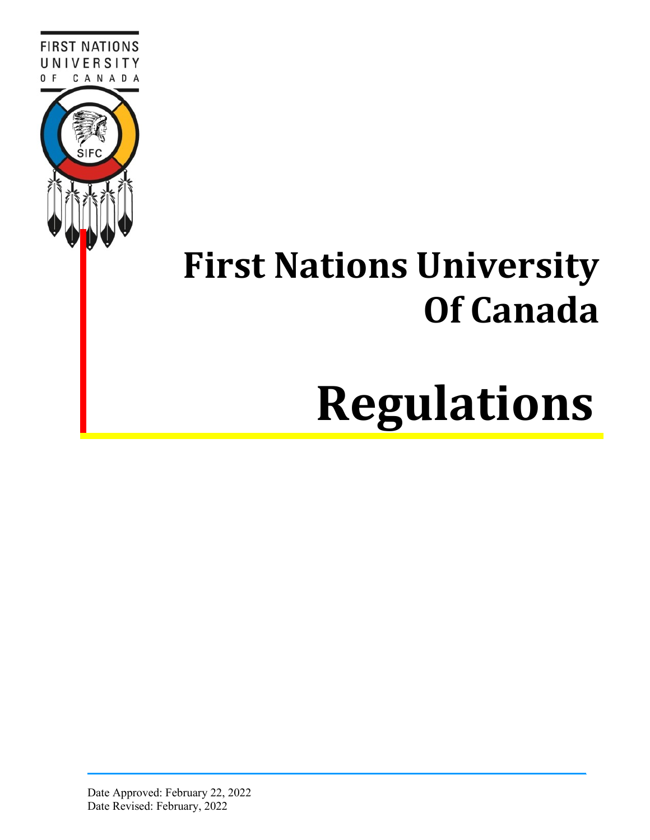

# **First Nations University Of Canada**

# **Regulations**

Date Approved: February 22, 2022 Date Revised: February, 2022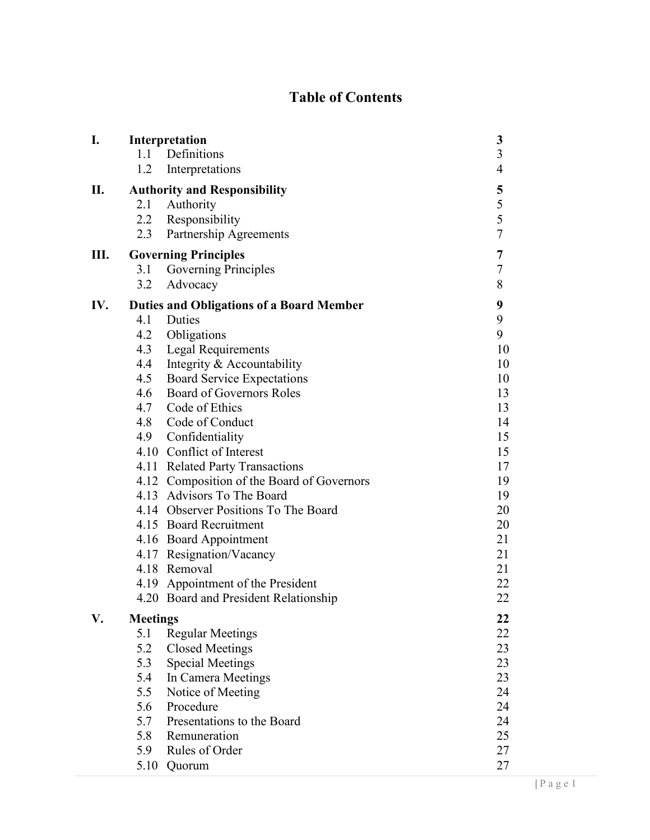# **Table of Contents**

| I.  |                                                 | Interpretation                             | 3                       |
|-----|-------------------------------------------------|--------------------------------------------|-------------------------|
|     |                                                 | 1.1 Definitions                            | $\overline{\mathbf{3}}$ |
|     | 1.2                                             | Interpretations                            | $\overline{4}$          |
| П.  | <b>Authority and Responsibility</b>             | 5                                          |                         |
|     |                                                 | 2.1 Authority                              | 5                       |
|     | 2.2                                             | Responsibility                             | 5                       |
|     | 2.3                                             | Partnership Agreements                     | $\overline{7}$          |
| Ш.  | <b>Governing Principles</b>                     | 7                                          |                         |
|     | 3.1                                             | Governing Principles                       | $\tau$                  |
|     | 3.2                                             | Advocacy                                   | 8                       |
| IV. | <b>Duties and Obligations of a Board Member</b> | 9                                          |                         |
|     | 4.1                                             | Duties                                     | 9                       |
|     | 4.2                                             | Obligations                                | 9                       |
|     | 4.3                                             | <b>Legal Requirements</b>                  | 10                      |
|     |                                                 | 4.4 Integrity & Accountability             | 10                      |
|     |                                                 | 4.5 Board Service Expectations             | 10                      |
|     |                                                 | 4.6 Board of Governors Roles               | 13                      |
|     |                                                 | 4.7 Code of Ethics                         | 13                      |
|     |                                                 | 4.8 Code of Conduct                        | 14                      |
|     |                                                 | 4.9 Confidentiality                        | 15                      |
|     |                                                 | 4.10 Conflict of Interest                  | 15                      |
|     |                                                 | 4.11 Related Party Transactions            | 17                      |
|     |                                                 | 4.12 Composition of the Board of Governors | 19                      |
|     |                                                 | 4.13 Advisors To The Board                 | 19                      |
|     |                                                 | 4.14 Observer Positions To The Board       | 20                      |
|     |                                                 | 4.15 Board Recruitment                     | 20                      |
|     |                                                 | 4.16 Board Appointment                     | 21                      |
|     |                                                 | 4.17 Resignation/Vacancy                   | 21                      |
|     |                                                 | 4.18 Removal                               | 21                      |
|     |                                                 | 4.19 Appointment of the President          | 22                      |
|     |                                                 | 4.20 Board and President Relationship      | 22                      |
| V.  | <b>Meetings</b>                                 | 22                                         |                         |
|     | 5.1                                             | <b>Regular Meetings</b>                    | 22                      |
|     | 5.2                                             | <b>Closed Meetings</b>                     | 23                      |
|     | 5.3                                             | <b>Special Meetings</b>                    | 23                      |
|     | 5.4                                             | In Camera Meetings                         | 23                      |
|     | 5.5                                             | Notice of Meeting                          | 24                      |
|     | 5.6                                             | Procedure                                  | 24                      |
|     | 5.7                                             | Presentations to the Board                 | 24                      |
|     | 5.8                                             | Remuneration                               | 25                      |
|     | 5.9                                             | Rules of Order                             | 27                      |
|     | 5.10                                            | Quorum                                     | 27                      |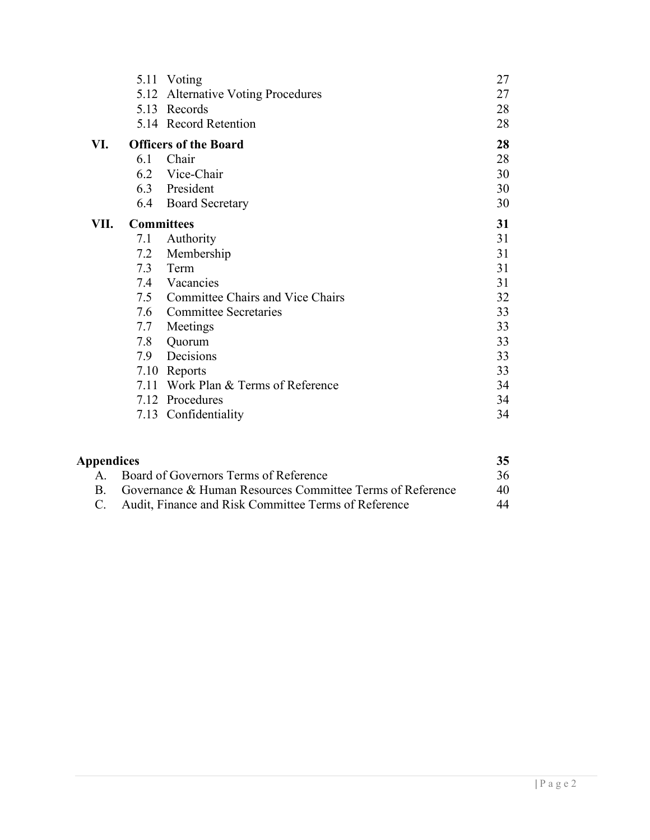|      |                   | 5.11 Voting                          | 27 |
|------|-------------------|--------------------------------------|----|
|      |                   | 5.12 Alternative Voting Procedures   | 27 |
|      |                   | 5.13 Records                         | 28 |
|      |                   | 5.14 Record Retention                | 28 |
| VI.  |                   | <b>Officers of the Board</b>         | 28 |
|      | 6.1               | Chair                                | 28 |
|      | 6.2               | Vice-Chair                           | 30 |
|      |                   | 6.3 President                        | 30 |
|      | 6.4               | <b>Board Secretary</b>               | 30 |
| VII. | <b>Committees</b> |                                      | 31 |
|      | 7.1               | Authority                            | 31 |
|      | 7.2               | Membership                           | 31 |
|      | 7.3               | Term                                 | 31 |
|      | 7.4               | Vacancies                            | 31 |
|      |                   | 7.5 Committee Chairs and Vice Chairs | 32 |
|      |                   | 7.6 Committee Secretaries            | 33 |
|      | 7.7               | Meetings                             | 33 |
|      | 7.8               | Quorum                               | 33 |
|      | 7.9               | Decisions                            | 33 |
|      |                   | 7.10 Reports                         | 33 |
|      |                   | 7.11 Work Plan & Terms of Reference  | 34 |
|      |                   | 7.12 Procedures                      | 34 |
|      |                   | 7.13 Confidentiality                 | 34 |
|      |                   |                                      |    |

| Appendices |                                                           |    |
|------------|-----------------------------------------------------------|----|
|            | A. Board of Governors Terms of Reference                  | 36 |
|            | Governance & Human Resources Committee Terms of Reference | 40 |
|            | C. Audit, Finance and Risk Committee Terms of Reference   | 44 |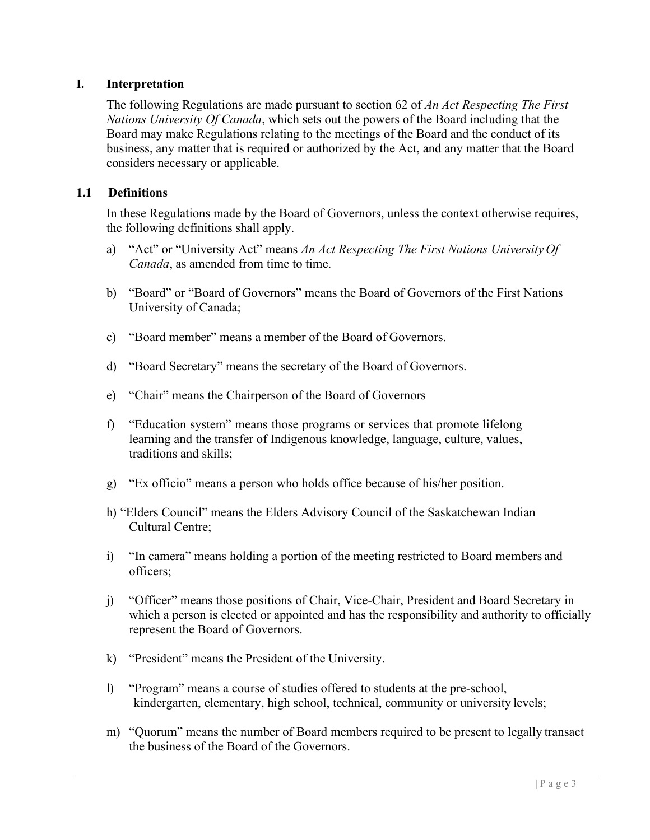#### <span id="page-3-0"></span>**I. Interpretation**

The following Regulations are made pursuant to section 62 of *An Act Respecting The First Nations University Of Canada*, which sets out the powers of the Board including that the Board may make Regulations relating to the meetings of the Board and the conduct of its business, any matter that is required or authorized by the Act, and any matter that the Board considers necessary or applicable.

#### <span id="page-3-1"></span>**1.1 Definitions**

In these Regulations made by the Board of Governors, unless the context otherwise requires, the following definitions shall apply.

- a) "Act" or "University Act" means *An Act Respecting The First Nations University Of Canada*, as amended from time to time.
- b) "Board" or "Board of Governors" means the Board of Governors of the First Nations University of Canada;
- c) "Board member" means a member of the Board of Governors.
- d) "Board Secretary" means the secretary of the Board of Governors.
- e) "Chair" means the Chairperson of the Board of Governors
- f) "Education system" means those programs or services that promote lifelong learning and the transfer of Indigenous knowledge, language, culture, values, traditions and skills;
- g) "Ex officio" means a person who holds office because of his/her position.
- h) "Elders Council" means the Elders Advisory Council of the Saskatchewan Indian Cultural Centre;
- i) "In camera" means holding a portion of the meeting restricted to Board members and officers;
- j) "Officer" means those positions of Chair, Vice-Chair, President and Board Secretary in which a person is elected or appointed and has the responsibility and authority to officially represent the Board of Governors.
- k) "President" means the President of the University.
- l) "Program" means a course of studies offered to students at the pre-school, kindergarten, elementary, high school, technical, community or university levels;
- m) "Quorum" means the number of Board members required to be present to legally transact the business of the Board of the Governors.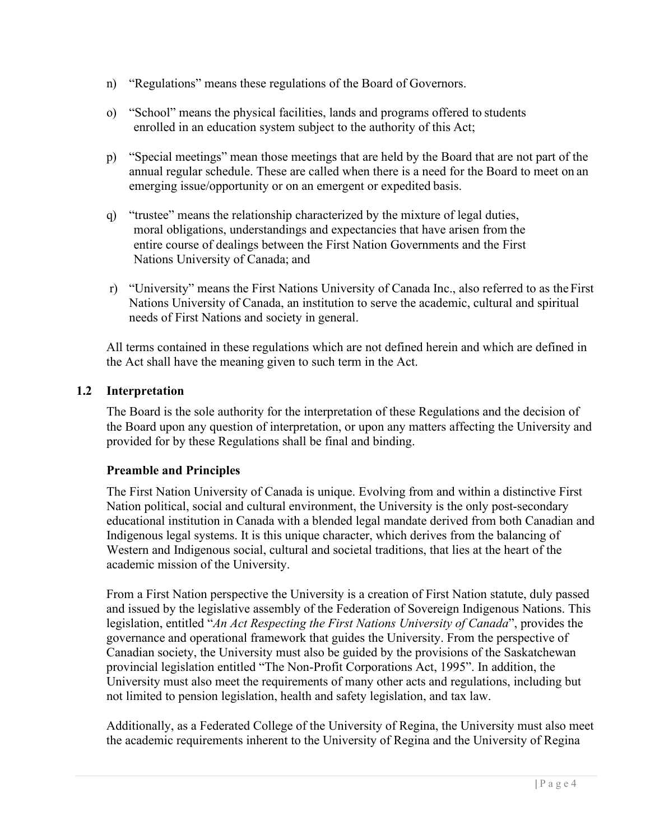- n) "Regulations" means these regulations of the Board of Governors.
- o) "School" means the physical facilities, lands and programs offered to students enrolled in an education system subject to the authority of this Act;
- p) "Special meetings" mean those meetings that are held by the Board that are not part of the annual regular schedule. These are called when there is a need for the Board to meet on an emerging issue/opportunity or on an emergent or expedited basis.
- q) "trustee" means the relationship characterized by the mixture of legal duties, moral obligations, understandings and expectancies that have arisen from the entire course of dealings between the First Nation Governments and the First Nations University of Canada; and
- r) "University" means the First Nations University of Canada Inc., also referred to as the First Nations University of Canada, an institution to serve the academic, cultural and spiritual needs of First Nations and society in general.

All terms contained in these regulations which are not defined herein and which are defined in the Act shall have the meaning given to such term in the Act.

#### **1.2 Interpretation**

The Board is the sole authority for the interpretation of these Regulations and the decision of the Board upon any question of interpretation, or upon any matters affecting the University and provided for by these Regulations shall be final and binding.

#### **Preamble and Principles**

The First Nation University of Canada is unique. Evolving from and within a distinctive First Nation political, social and cultural environment, the University is the only post-secondary educational institution in Canada with a blended legal mandate derived from both Canadian and Indigenous legal systems. It is this unique character, which derives from the balancing of Western and Indigenous social, cultural and societal traditions, that lies at the heart of the academic mission of the University.

From a First Nation perspective the University is a creation of First Nation statute, duly passed and issued by the legislative assembly of the Federation of Sovereign Indigenous Nations. This legislation, entitled "*An Act Respecting the First Nations University of Canada*", provides the governance and operational framework that guides the University. From the perspective of Canadian society, the University must also be guided by the provisions of the Saskatchewan provincial legislation entitled "The Non-Profit Corporations Act, 1995". In addition, the University must also meet the requirements of many other acts and regulations, including but not limited to pension legislation, health and safety legislation, and tax law.

Additionally, as a Federated College of the University of Regina, the University must also meet the academic requirements inherent to the University of Regina and the University of Regina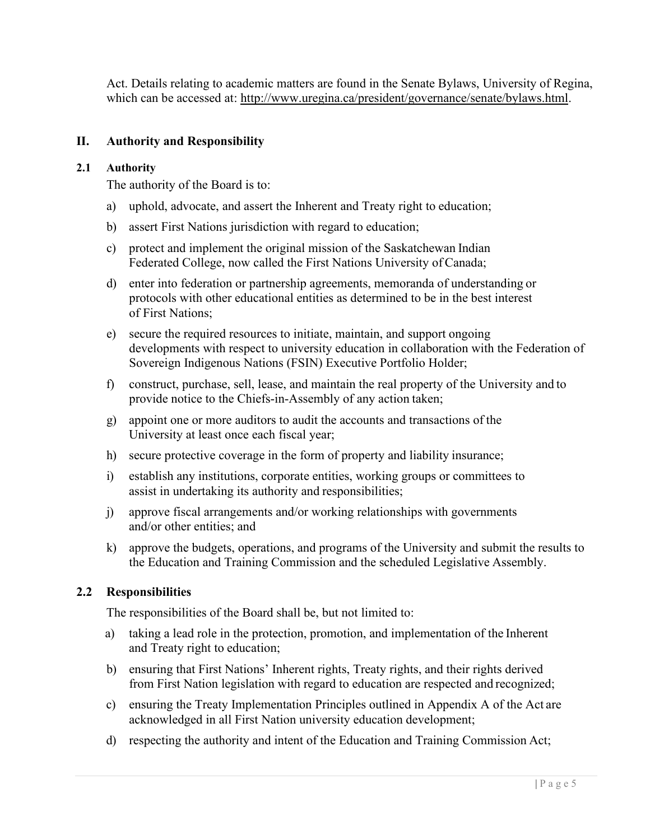Act. Details relating to academic matters are found in the Senate Bylaws, University of Regina, which can be accessed at: [http://www.uregina.ca/president/governance/senate/bylaws.html.](http://www.uregina.ca/president/governance/senate/bylaws.html)

#### <span id="page-5-0"></span>**II. Authority and Responsibility**

#### **2.1 Authority**

The authority of the Board is to:

- a) uphold, advocate, and assert the Inherent and Treaty right to education;
- b) assert First Nations jurisdiction with regard to education;
- c) protect and implement the original mission of the Saskatchewan Indian Federated College, now called the First Nations University of Canada;
- d) enter into federation or partnership agreements, memoranda of understanding or protocols with other educational entities as determined to be in the best interest of First Nations;
- e) secure the required resources to initiate, maintain, and support ongoing developments with respect to university education in collaboration with the Federation of Sovereign Indigenous Nations (FSIN) Executive Portfolio Holder;
- f) construct, purchase, sell, lease, and maintain the real property of the University and to provide notice to the Chiefs-in-Assembly of any action taken;
- g) appoint one or more auditors to audit the accounts and transactions of the University at least once each fiscal year;
- h) secure protective coverage in the form of property and liability insurance;
- i) establish any institutions, corporate entities, working groups or committees to assist in undertaking its authority and responsibilities;
- j) approve fiscal arrangements and/or working relationships with governments and/or other entities; and
- k) approve the budgets, operations, and programs of the University and submit the results to the Education and Training Commission and the scheduled Legislative Assembly.

#### **2.2 Responsibilities**

The responsibilities of the Board shall be, but not limited to:

- a) taking a lead role in the protection, promotion, and implementation of the Inherent and Treaty right to education;
- b) ensuring that First Nations' Inherent rights, Treaty rights, and their rights derived from First Nation legislation with regard to education are respected and recognized;
- c) ensuring the Treaty Implementation Principles outlined in Appendix A of the Act are acknowledged in all First Nation university education development;
- d) respecting the authority and intent of the Education and Training Commission Act;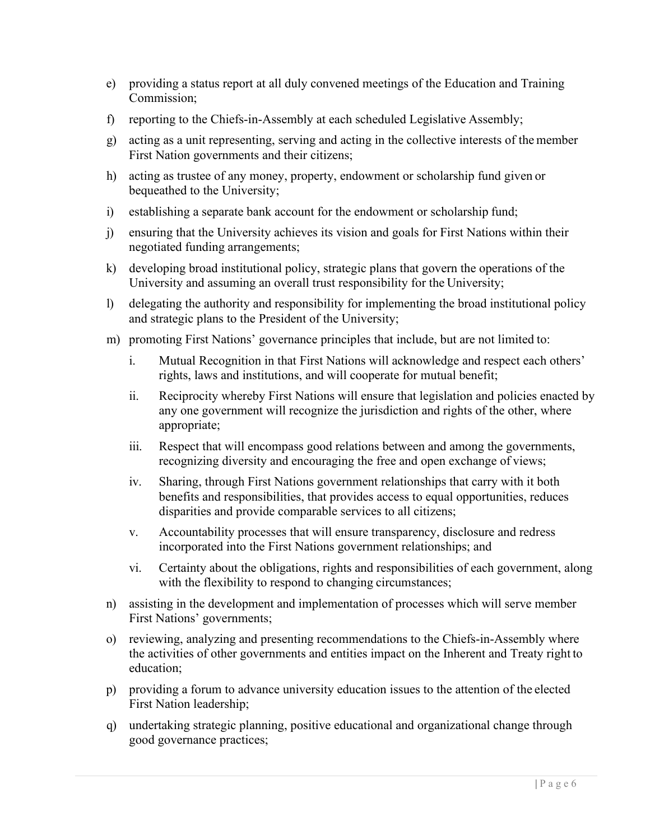- e) providing a status report at all duly convened meetings of the Education and Training Commission;
- f) reporting to the Chiefs-in-Assembly at each scheduled Legislative Assembly;
- g) acting as a unit representing, serving and acting in the collective interests of the member First Nation governments and their citizens;
- h) acting as trustee of any money, property, endowment or scholarship fund given or bequeathed to the University;
- i) establishing a separate bank account for the endowment or scholarship fund;
- j) ensuring that the University achieves its vision and goals for First Nations within their negotiated funding arrangements;
- k) developing broad institutional policy, strategic plans that govern the operations of the University and assuming an overall trust responsibility for the University;
- l) delegating the authority and responsibility for implementing the broad institutional policy and strategic plans to the President of the University;
- m) promoting First Nations' governance principles that include, but are not limited to:
	- i. Mutual Recognition in that First Nations will acknowledge and respect each others' rights, laws and institutions, and will cooperate for mutual benefit;
	- ii. Reciprocity whereby First Nations will ensure that legislation and policies enacted by any one government will recognize the jurisdiction and rights of the other, where appropriate;
	- iii. Respect that will encompass good relations between and among the governments, recognizing diversity and encouraging the free and open exchange of views;
	- iv. Sharing, through First Nations government relationships that carry with it both benefits and responsibilities, that provides access to equal opportunities, reduces disparities and provide comparable services to all citizens;
	- v. Accountability processes that will ensure transparency, disclosure and redress incorporated into the First Nations government relationships; and
	- vi. Certainty about the obligations, rights and responsibilities of each government, along with the flexibility to respond to changing circumstances;
- n) assisting in the development and implementation of processes which will serve member First Nations' governments;
- o) reviewing, analyzing and presenting recommendations to the Chiefs-in-Assembly where the activities of other governments and entities impact on the Inherent and Treaty right to education;
- p) providing a forum to advance university education issues to the attention of the elected First Nation leadership;
- q) undertaking strategic planning, positive educational and organizational change through good governance practices;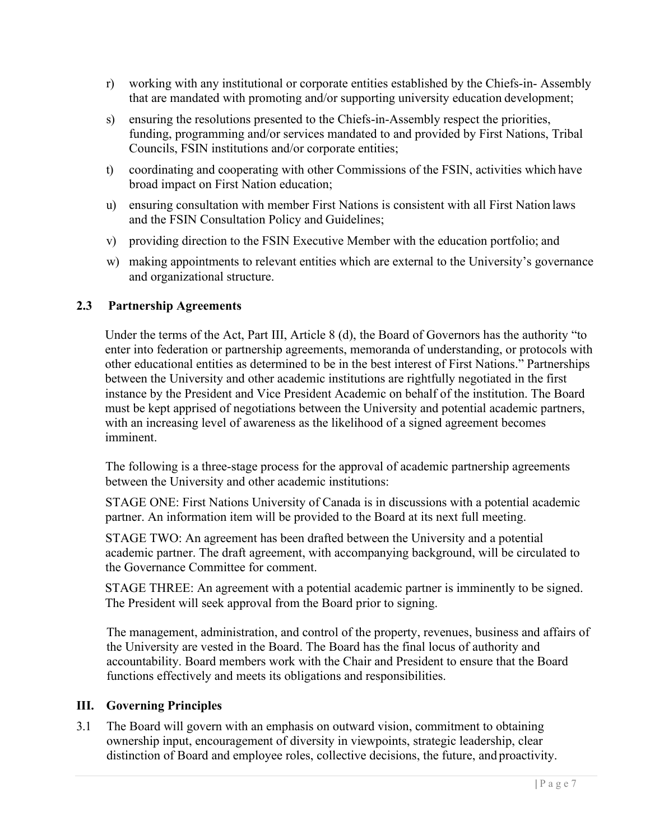- r) working with any institutional or corporate entities established by the Chiefs-in- Assembly that are mandated with promoting and/or supporting university education development;
- s) ensuring the resolutions presented to the Chiefs-in-Assembly respect the priorities, funding, programming and/or services mandated to and provided by First Nations, Tribal Councils, FSIN institutions and/or corporate entities;
- t) coordinating and cooperating with other Commissions of the FSIN, activities which have broad impact on First Nation education;
- u) ensuring consultation with member First Nations is consistent with all First Nation laws and the FSIN Consultation Policy and Guidelines;
- v) providing direction to the FSIN Executive Member with the education portfolio; and
- w) making appointments to relevant entities which are external to the University's governance and organizational structure.

#### <span id="page-7-0"></span>**2.3 Partnership Agreements**

Under the terms of the Act, Part III, Article 8 (d), the Board of Governors has the authority "to enter into federation or partnership agreements, memoranda of understanding, or protocols with other educational entities as determined to be in the best interest of First Nations." Partnerships between the University and other academic institutions are rightfully negotiated in the first instance by the President and Vice President Academic on behalf of the institution. The Board must be kept apprised of negotiations between the University and potential academic partners, with an increasing level of awareness as the likelihood of a signed agreement becomes imminent.

The following is a three-stage process for the approval of academic partnership agreements between the University and other academic institutions:

STAGE ONE: First Nations University of Canada is in discussions with a potential academic partner. An information item will be provided to the Board at its next full meeting.

STAGE TWO: An agreement has been drafted between the University and a potential academic partner. The draft agreement, with accompanying background, will be circulated to the Governance Committee for comment.

STAGE THREE: An agreement with a potential academic partner is imminently to be signed. The President will seek approval from the Board prior to signing.

The management, administration, and control of the property, revenues, business and affairs of the University are vested in the Board. The Board has the final locus of authority and accountability. Board members work with the Chair and President to ensure that the Board functions effectively and meets its obligations and responsibilities.

#### <span id="page-7-1"></span>**III. Governing Principles**

3.1 The Board will govern with an emphasis on outward vision, commitment to obtaining ownership input, encouragement of diversity in viewpoints, strategic leadership, clear distinction of Board and employee roles, collective decisions, the future, and proactivity.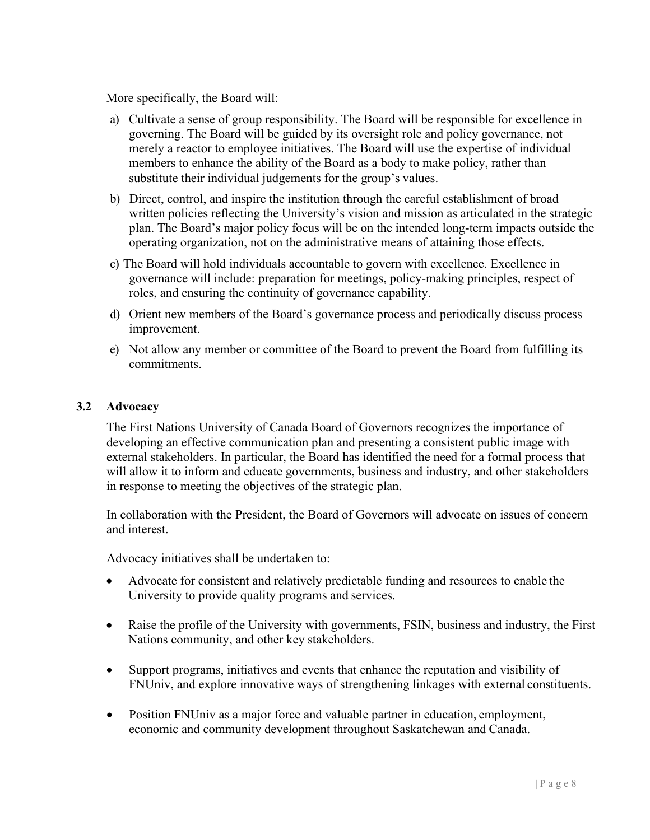More specifically, the Board will:

- a) Cultivate a sense of group responsibility. The Board will be responsible for excellence in governing. The Board will be guided by its oversight role and policy governance, not merely a reactor to employee initiatives. The Board will use the expertise of individual members to enhance the ability of the Board as a body to make policy, rather than substitute their individual judgements for the group's values.
- b) Direct, control, and inspire the institution through the careful establishment of broad written policies reflecting the University's vision and mission as articulated in the strategic plan. The Board's major policy focus will be on the intended long-term impacts outside the operating organization, not on the administrative means of attaining those effects.
- c) The Board will hold individuals accountable to govern with excellence. Excellence in governance will include: preparation for meetings, policy-making principles, respect of roles, and ensuring the continuity of governance capability.
- d) Orient new members of the Board's governance process and periodically discuss process improvement.
- e) Not allow any member or committee of the Board to prevent the Board from fulfilling its commitments.

#### <span id="page-8-0"></span>**3.2 Advocacy**

The First Nations University of Canada Board of Governors recognizes the importance of developing an effective communication plan and presenting a consistent public image with external stakeholders. In particular, the Board has identified the need for a formal process that will allow it to inform and educate governments, business and industry, and other stakeholders in response to meeting the objectives of the strategic plan.

In collaboration with the President, the Board of Governors will advocate on issues of concern and interest.

Advocacy initiatives shall be undertaken to:

- Advocate for consistent and relatively predictable funding and resources to enable the University to provide quality programs and services.
- Raise the profile of the University with governments, FSIN, business and industry, the First Nations community, and other key stakeholders.
- Support programs, initiatives and events that enhance the reputation and visibility of FNUniv, and explore innovative ways of strengthening linkages with external constituents.
- Position FNUniv as a major force and valuable partner in education, employment, economic and community development throughout Saskatchewan and Canada.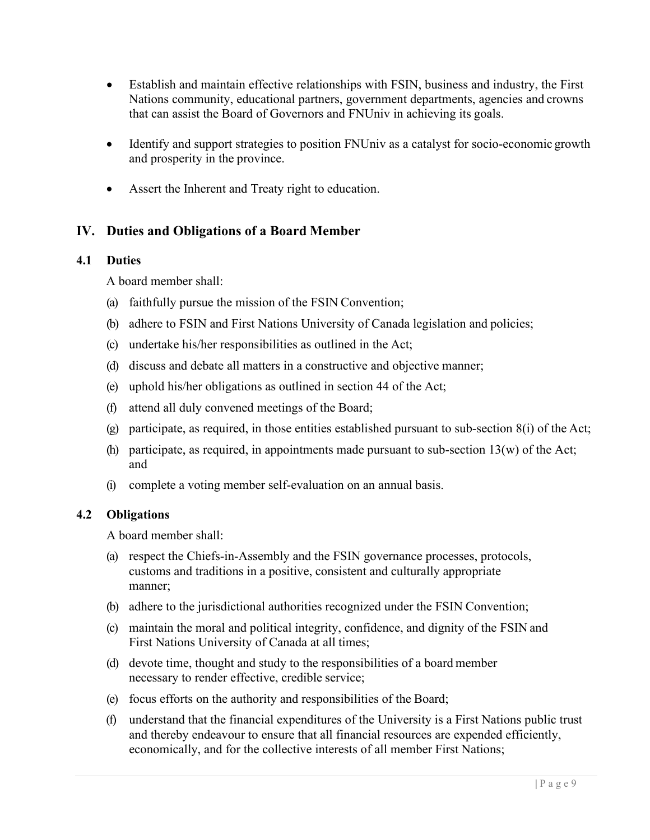- Establish and maintain effective relationships with FSIN, business and industry, the First Nations community, educational partners, government departments, agencies and crowns that can assist the Board of Governors and FNUniv in achieving its goals.
- Identify and support strategies to position FNUniv as a catalyst for socio-economic growth and prosperity in the province.
- Assert the Inherent and Treaty right to education.

#### <span id="page-9-0"></span>**IV. Duties and Obligations of a Board Member**

#### <span id="page-9-1"></span>**4.1 Duties**

A board member shall:

- (a) faithfully pursue the mission of the FSIN Convention;
- (b) adhere to FSIN and First Nations University of Canada legislation and policies;
- (c) undertake his/her responsibilities as outlined in the Act;
- (d) discuss and debate all matters in a constructive and objective manner;
- (e) uphold his/her obligations as outlined in section 44 of the Act;
- (f) attend all duly convened meetings of the Board;
- (g) participate, as required, in those entities established pursuant to sub-section 8(i) of the Act;
- (h) participate, as required, in appointments made pursuant to sub-section  $13(w)$  of the Act; and
- (i) complete a voting member self-evaluation on an annual basis.

#### <span id="page-9-2"></span>**4.2 Obligations**

A board member shall:

- (a) respect the Chiefs-in-Assembly and the FSIN governance processes, protocols, customs and traditions in a positive, consistent and culturally appropriate manner;
- (b) adhere to the jurisdictional authorities recognized under the FSIN Convention;
- (c) maintain the moral and political integrity, confidence, and dignity of the FSIN and First Nations University of Canada at all times;
- (d) devote time, thought and study to the responsibilities of a board member necessary to render effective, credible service;
- (e) focus efforts on the authority and responsibilities of the Board;
- (f) understand that the financial expenditures of the University is a First Nations public trust and thereby endeavour to ensure that all financial resources are expended efficiently, economically, and for the collective interests of all member First Nations;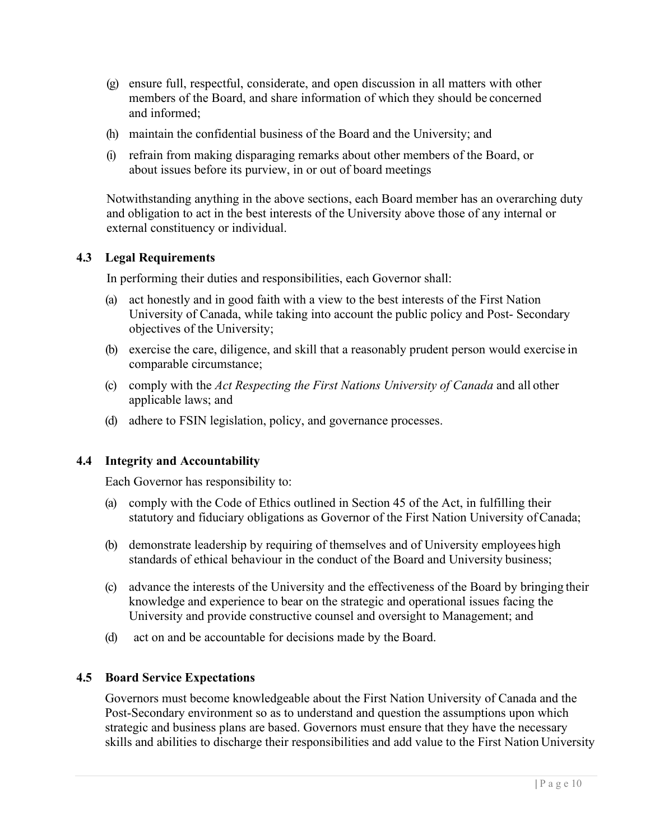- (g) ensure full, respectful, considerate, and open discussion in all matters with other members of the Board, and share information of which they should be concerned and informed;
- (h) maintain the confidential business of the Board and the University; and
- (i) refrain from making disparaging remarks about other members of the Board, or about issues before its purview, in or out of board meetings

Notwithstanding anything in the above sections, each Board member has an overarching duty and obligation to act in the best interests of the University above those of any internal or external constituency or individual.

#### <span id="page-10-0"></span>**4.3 Legal Requirements**

In performing their duties and responsibilities, each Governor shall:

- (a) act honestly and in good faith with a view to the best interests of the First Nation University of Canada, while taking into account the public policy and Post- Secondary objectives of the University;
- (b) exercise the care, diligence, and skill that a reasonably prudent person would exercise in comparable circumstance;
- (c) comply with the *Act Respecting the First Nations University of Canada* and all other applicable laws; and
- (d) adhere to FSIN legislation, policy, and governance processes.

#### **4.4 Integrity and Accountability**

Each Governor has responsibility to:

- (a) comply with the Code of Ethics outlined in Section 45 of the Act, in fulfilling their statutory and fiduciary obligations as Governor of the First Nation University ofCanada;
- (b) demonstrate leadership by requiring of themselves and of University employees high standards of ethical behaviour in the conduct of the Board and University business;
- (c) advance the interests of the University and the effectiveness of the Board by bringing their knowledge and experience to bear on the strategic and operational issues facing the University and provide constructive counsel and oversight to Management; and
- (d) act on and be accountable for decisions made by the Board.

#### <span id="page-10-1"></span>**4.5 Board Service Expectations**

Governors must become knowledgeable about the First Nation University of Canada and the Post-Secondary environment so as to understand and question the assumptions upon which strategic and business plans are based. Governors must ensure that they have the necessary skills and abilities to discharge their responsibilities and add value to the First Nation University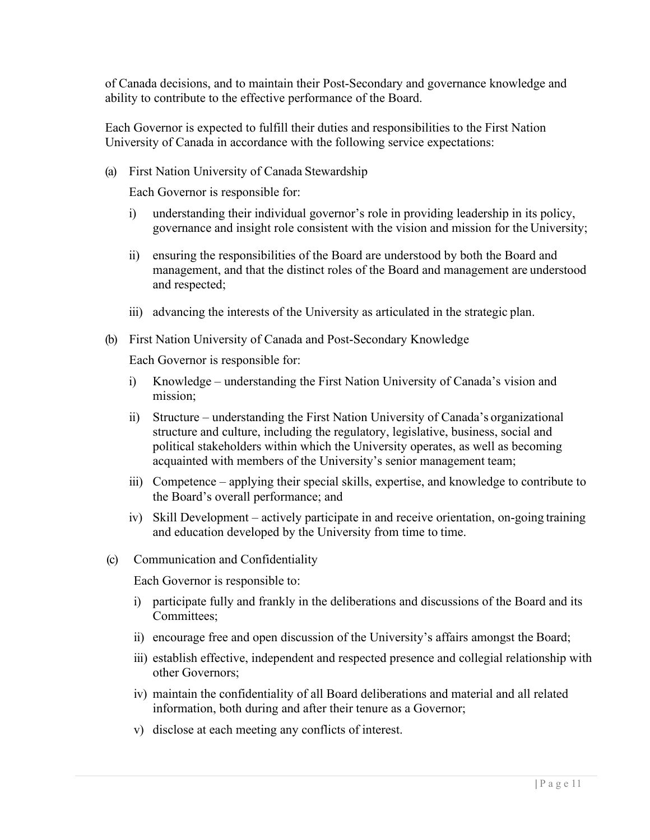of Canada decisions, and to maintain their Post-Secondary and governance knowledge and ability to contribute to the effective performance of the Board.

Each Governor is expected to fulfill their duties and responsibilities to the First Nation University of Canada in accordance with the following service expectations:

(a) First Nation University of Canada Stewardship

Each Governor is responsible for:

- i) understanding their individual governor's role in providing leadership in its policy, governance and insight role consistent with the vision and mission for the University;
- ii) ensuring the responsibilities of the Board are understood by both the Board and management, and that the distinct roles of the Board and management are understood and respected;
- iii) advancing the interests of the University as articulated in the strategic plan.
- (b) First Nation University of Canada and Post-Secondary Knowledge

Each Governor is responsible for:

- i) Knowledge understanding the First Nation University of Canada's vision and mission;
- ii) Structure understanding the First Nation University of Canada's organizational structure and culture, including the regulatory, legislative, business, social and political stakeholders within which the University operates, as well as becoming acquainted with members of the University's senior management team;
- iii) Competence applying their special skills, expertise, and knowledge to contribute to the Board's overall performance; and
- iv) Skill Development actively participate in and receive orientation, on-going training and education developed by the University from time to time.
- (c) Communication and Confidentiality

Each Governor is responsible to:

- i) participate fully and frankly in the deliberations and discussions of the Board and its Committees;
- ii) encourage free and open discussion of the University's affairs amongst the Board;
- iii) establish effective, independent and respected presence and collegial relationship with other Governors;
- iv) maintain the confidentiality of all Board deliberations and material and all related information, both during and after their tenure as a Governor;
- v) disclose at each meeting any conflicts of interest.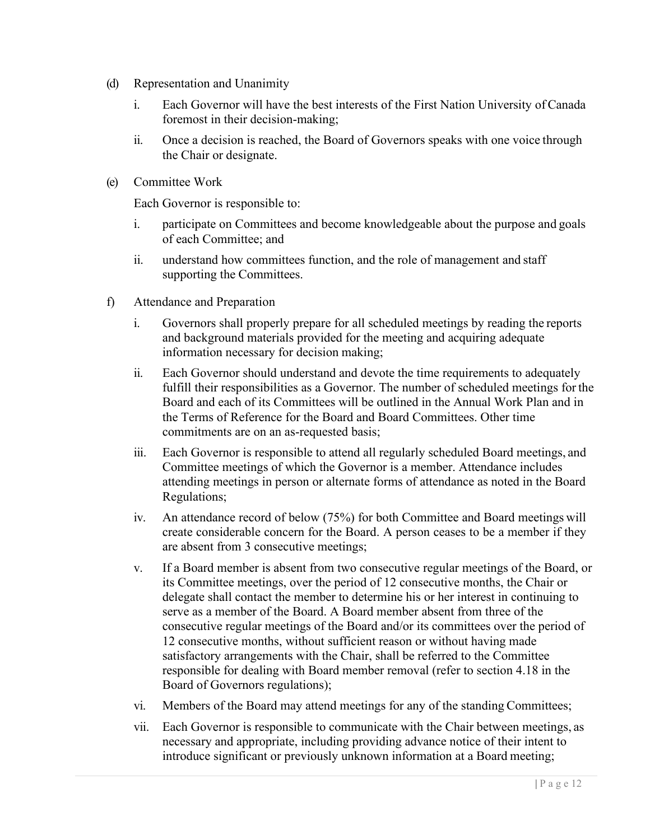- (d) Representation and Unanimity
	- i. Each Governor will have the best interests of the First Nation University ofCanada foremost in their decision-making;
	- ii. Once a decision is reached, the Board of Governors speaks with one voice through the Chair or designate.
- (e) Committee Work

Each Governor is responsible to:

- i. participate on Committees and become knowledgeable about the purpose and goals of each Committee; and
- ii. understand how committees function, and the role of management and staff supporting the Committees.
- f) Attendance and Preparation
	- i. Governors shall properly prepare for all scheduled meetings by reading the reports and background materials provided for the meeting and acquiring adequate information necessary for decision making;
	- ii. Each Governor should understand and devote the time requirements to adequately fulfill their responsibilities as a Governor. The number of scheduled meetings for the Board and each of its Committees will be outlined in the Annual Work Plan and in the Terms of Reference for the Board and Board Committees. Other time commitments are on an as-requested basis;
	- iii. Each Governor is responsible to attend all regularly scheduled Board meetings, and Committee meetings of which the Governor is a member. Attendance includes attending meetings in person or alternate forms of attendance as noted in the Board Regulations;
	- iv. An attendance record of below (75%) for both Committee and Board meetings will create considerable concern for the Board. A person ceases to be a member if they are absent from 3 consecutive meetings;
	- v. If a Board member is absent from two consecutive regular meetings of the Board, or its Committee meetings, over the period of 12 consecutive months, the Chair or delegate shall contact the member to determine his or her interest in continuing to serve as a member of the Board. A Board member absent from three of the consecutive regular meetings of the Board and/or its committees over the period of 12 consecutive months, without sufficient reason or without having made satisfactory arrangements with the Chair, shall be referred to the Committee responsible for dealing with Board member removal (refer to section 4.18 in the Board of Governors regulations);
	- vi. Members of the Board may attend meetings for any of the standing Committees;
	- vii. Each Governor is responsible to communicate with the Chair between meetings, as necessary and appropriate, including providing advance notice of their intent to introduce significant or previously unknown information at a Board meeting;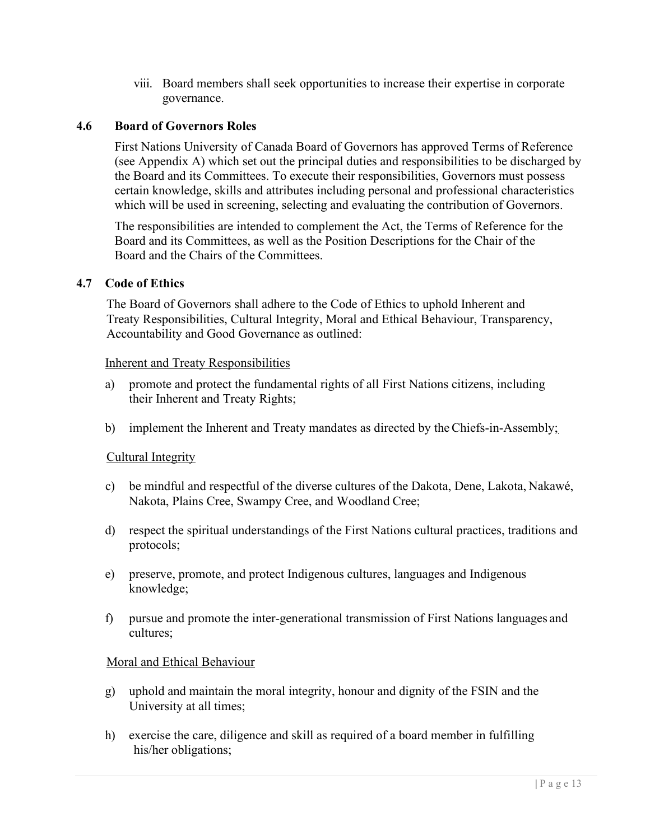viii. Board members shall seek opportunities to increase their expertise in corporate governance.

#### <span id="page-13-0"></span>**4.6 Board of Governors Roles**

First Nations University of Canada Board of Governors has approved Terms of Reference (see Appendix A) which set out the principal duties and responsibilities to be discharged by the Board and its Committees. To execute their responsibilities, Governors must possess certain knowledge, skills and attributes including personal and professional characteristics which will be used in screening, selecting and evaluating the contribution of Governors.

The responsibilities are intended to complement the Act, the Terms of Reference for the Board and its Committees, as well as the Position Descriptions for the Chair of the Board and the Chairs of the Committees.

#### <span id="page-13-1"></span>**4.7 Code of Ethics**

The Board of Governors shall adhere to the Code of Ethics to uphold Inherent and Treaty Responsibilities, Cultural Integrity, Moral and Ethical Behaviour, Transparency, Accountability and Good Governance as outlined:

#### Inherent and Treaty Responsibilities

- a) promote and protect the fundamental rights of all First Nations citizens, including their Inherent and Treaty Rights;
- b) implement the Inherent and Treaty mandates as directed by theChiefs-in-Assembly;

#### Cultural Integrity

- c) be mindful and respectful of the diverse cultures of the Dakota, Dene, Lakota, Nakawé, Nakota, Plains Cree, Swampy Cree, and Woodland Cree;
- d) respect the spiritual understandings of the First Nations cultural practices, traditions and protocols;
- e) preserve, promote, and protect Indigenous cultures, languages and Indigenous knowledge;
- f) pursue and promote the inter-generational transmission of First Nations languages and cultures;

#### Moral and Ethical Behaviour

- g) uphold and maintain the moral integrity, honour and dignity of the FSIN and the University at all times;
- h) exercise the care, diligence and skill as required of a board member in fulfilling his/her obligations;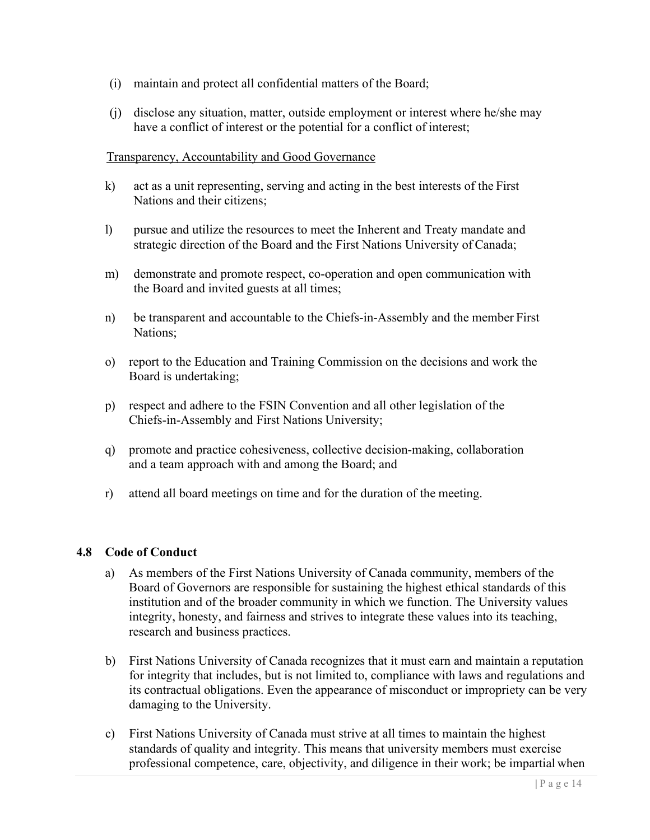- (i) maintain and protect all confidential matters of the Board;
- (j) disclose any situation, matter, outside employment or interest where he/she may have a conflict of interest or the potential for a conflict of interest;

#### Transparency, Accountability and Good Governance

- k) act as a unit representing, serving and acting in the best interests of the First Nations and their citizens;
- l) pursue and utilize the resources to meet the Inherent and Treaty mandate and strategic direction of the Board and the First Nations University of Canada;
- m) demonstrate and promote respect, co-operation and open communication with the Board and invited guests at all times;
- n) be transparent and accountable to the Chiefs-in-Assembly and the member First Nations;
- o) report to the Education and Training Commission on the decisions and work the Board is undertaking;
- p) respect and adhere to the FSIN Convention and all other legislation of the Chiefs-in-Assembly and First Nations University;
- q) promote and practice cohesiveness, collective decision-making, collaboration and a team approach with and among the Board; and
- r) attend all board meetings on time and for the duration of the meeting.

#### <span id="page-14-0"></span>**4.8 Code of Conduct**

- a) As members of the First Nations University of Canada community, members of the Board of Governors are responsible for sustaining the highest ethical standards of this institution and of the broader community in which we function. The University values integrity, honesty, and fairness and strives to integrate these values into its teaching, research and business practices.
- b) First Nations University of Canada recognizes that it must earn and maintain a reputation for integrity that includes, but is not limited to, compliance with laws and regulations and its contractual obligations. Even the appearance of misconduct or impropriety can be very damaging to the University.
- c) First Nations University of Canada must strive at all times to maintain the highest standards of quality and integrity. This means that university members must exercise professional competence, care, objectivity, and diligence in their work; be impartial when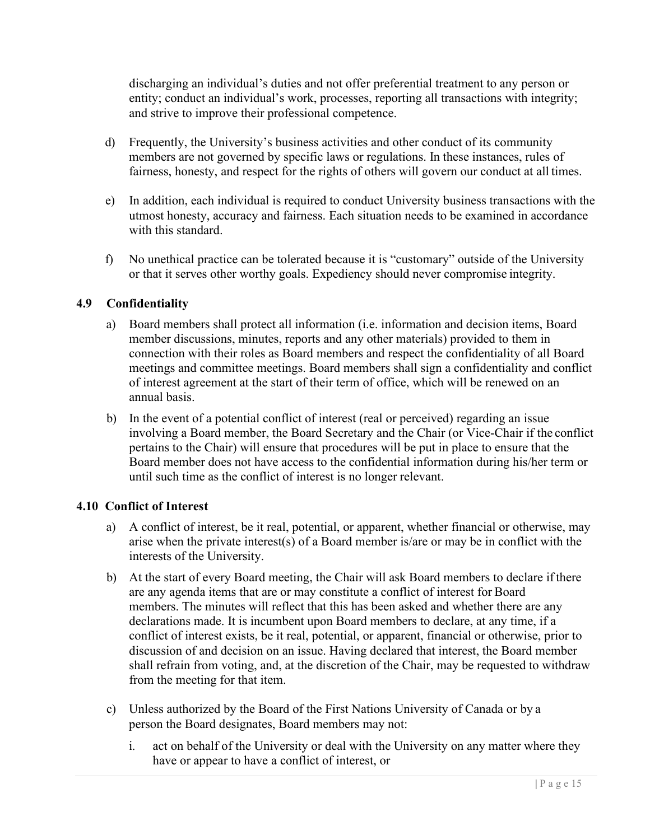discharging an individual's duties and not offer preferential treatment to any person or entity; conduct an individual's work, processes, reporting all transactions with integrity; and strive to improve their professional competence.

- d) Frequently, the University's business activities and other conduct of its community members are not governed by specific laws or regulations. In these instances, rules of fairness, honesty, and respect for the rights of others will govern our conduct at all times.
- e) In addition, each individual is required to conduct University business transactions with the utmost honesty, accuracy and fairness. Each situation needs to be examined in accordance with this standard.
- f) No unethical practice can be tolerated because it is "customary" outside of the University or that it serves other worthy goals. Expediency should never compromise integrity.

#### <span id="page-15-0"></span>**4.9 Confidentiality**

- a) Board members shall protect all information (i.e. information and decision items, Board member discussions, minutes, reports and any other materials) provided to them in connection with their roles as Board members and respect the confidentiality of all Board meetings and committee meetings. Board members shall sign a confidentiality and conflict of interest agreement at the start of their term of office, which will be renewed on an annual basis.
- b) In the event of a potential conflict of interest (real or perceived) regarding an issue involving a Board member, the Board Secretary and the Chair (or Vice-Chair if the conflict pertains to the Chair) will ensure that procedures will be put in place to ensure that the Board member does not have access to the confidential information during his/her term or until such time as the conflict of interest is no longer relevant.

#### <span id="page-15-1"></span>**4.10 Conflict of Interest**

- a) A conflict of interest, be it real, potential, or apparent, whether financial or otherwise, may arise when the private interest(s) of a Board member is/are or may be in conflict with the interests of the University.
- b) At the start of every Board meeting, the Chair will ask Board members to declare ifthere are any agenda items that are or may constitute a conflict of interest for Board members. The minutes will reflect that this has been asked and whether there are any declarations made. It is incumbent upon Board members to declare, at any time, if a conflict of interest exists, be it real, potential, or apparent, financial or otherwise, prior to discussion of and decision on an issue. Having declared that interest, the Board member shall refrain from voting, and, at the discretion of the Chair, may be requested to withdraw from the meeting for that item.
- c) Unless authorized by the Board of the First Nations University of Canada or by a person the Board designates, Board members may not:
	- i. act on behalf of the University or deal with the University on any matter where they have or appear to have a conflict of interest, or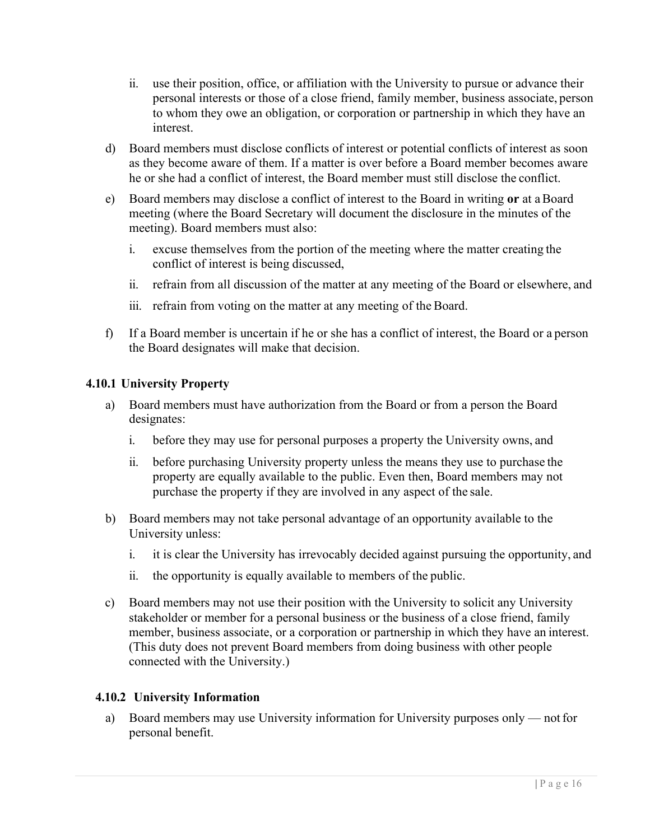- ii. use their position, office, or affiliation with the University to pursue or advance their personal interests or those of a close friend, family member, business associate, person to whom they owe an obligation, or corporation or partnership in which they have an interest.
- d) Board members must disclose conflicts of interest or potential conflicts of interest as soon as they become aware of them. If a matter is over before a Board member becomes aware he or she had a conflict of interest, the Board member must still disclose the conflict.
- e) Board members may disclose a conflict of interest to the Board in writing **or** at aBoard meeting (where the Board Secretary will document the disclosure in the minutes of the meeting). Board members must also:
	- i. excuse themselves from the portion of the meeting where the matter creating the conflict of interest is being discussed,
	- ii. refrain from all discussion of the matter at any meeting of the Board or elsewhere, and
	- iii. refrain from voting on the matter at any meeting of the Board.
- f) If a Board member is uncertain if he or she has a conflict of interest, the Board or a person the Board designates will make that decision.

#### **4.10.1 University Property**

- a) Board members must have authorization from the Board or from a person the Board designates:
	- i. before they may use for personal purposes a property the University owns, and
	- ii. before purchasing University property unless the means they use to purchase the property are equally available to the public. Even then, Board members may not purchase the property if they are involved in any aspect of the sale.
- b) Board members may not take personal advantage of an opportunity available to the University unless:
	- i. it is clear the University has irrevocably decided against pursuing the opportunity, and
	- ii. the opportunity is equally available to members of the public.
- c) Board members may not use their position with the University to solicit any University stakeholder or member for a personal business or the business of a close friend, family member, business associate, or a corporation or partnership in which they have an interest. (This duty does not prevent Board members from doing business with other people connected with the University.)

#### **4.10.2 University Information**

a) Board members may use University information for University purposes only — notfor personal benefit.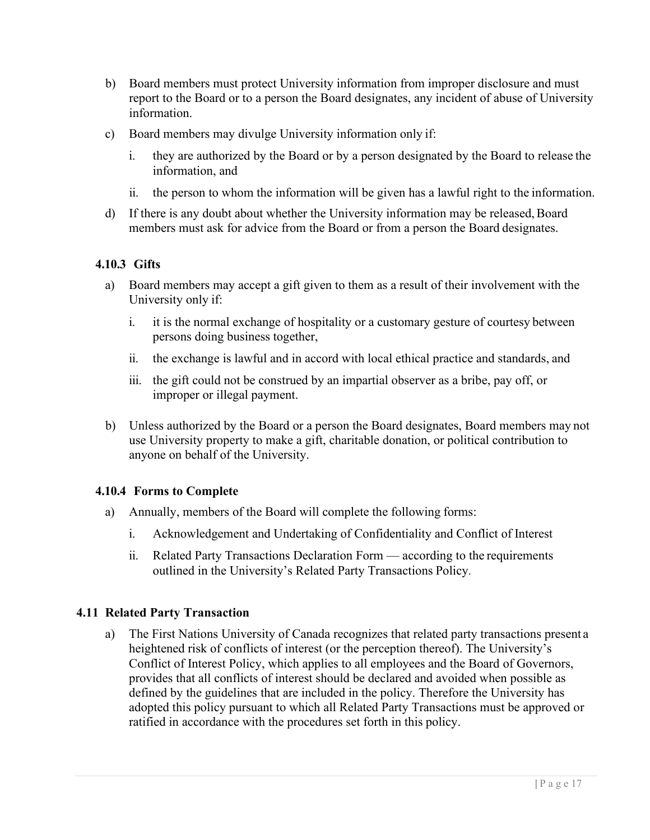- b) Board members must protect University information from improper disclosure and must report to the Board or to a person the Board designates, any incident of abuse of University information.
- c) Board members may divulge University information only if:
	- i. they are authorized by the Board or by a person designated by the Board to release the information, and
	- ii. the person to whom the information will be given has a lawful right to the information.
- d) If there is any doubt about whether the University information may be released, Board members must ask for advice from the Board or from a person the Board designates.

#### **4.10.3 Gifts**

- a) Board members may accept a gift given to them as a result of their involvement with the University only if:
	- i. it is the normal exchange of hospitality or a customary gesture of courtesy between persons doing business together,
	- ii. the exchange is lawful and in accord with local ethical practice and standards, and
	- iii. the gift could not be construed by an impartial observer as a bribe, pay off, or improper or illegal payment.
- b) Unless authorized by the Board or a person the Board designates, Board members may not use University property to make a gift, charitable donation, or political contribution to anyone on behalf of the University.

#### **4.10.4 Forms to Complete**

- a) Annually, members of the Board will complete the following forms:
	- i. Acknowledgement and Undertaking of Confidentiality and Conflict of Interest
	- ii. Related Party Transactions Declaration Form according to the requirements outlined in the University's Related Party Transactions Policy.

#### **4.11 Related Party Transaction**

a) The First Nations University of Canada recognizes that related party transactions present a heightened risk of conflicts of interest (or the perception thereof). The University's Conflict of Interest Policy, which applies to all employees and the Board of Governors, provides that all conflicts of interest should be declared and avoided when possible as defined by the guidelines that are included in the policy. Therefore the University has adopted this policy pursuant to which all Related Party Transactions must be approved or ratified in accordance with the procedures set forth in this policy.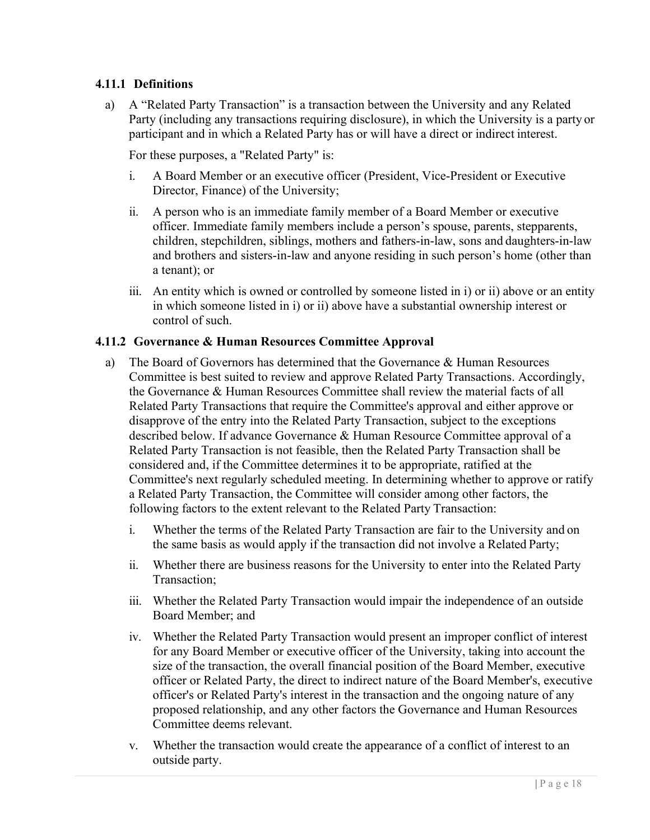#### **4.11.1 Definitions**

a) A "Related Party Transaction" is a transaction between the University and any Related Party (including any transactions requiring disclosure), in which the University is a party or participant and in which a Related Party has or will have a direct or indirect interest.

For these purposes, a "Related Party" is:

- i. A Board Member or an executive officer (President, Vice-President or Executive Director, Finance) of the University;
- ii. A person who is an immediate family member of a Board Member or executive officer. Immediate family members include a person's spouse, parents, stepparents, children, stepchildren, siblings, mothers and fathers-in-law, sons and daughters-in-law and brothers and sisters-in-law and anyone residing in such person's home (other than a tenant); or
- iii. An entity which is owned or controlled by someone listed in i) or ii) above or an entity in which someone listed in i) or ii) above have a substantial ownership interest or control of such.

#### **4.11.2 Governance & Human Resources Committee Approval**

- a) The Board of Governors has determined that the Governance & Human Resources Committee is best suited to review and approve Related Party Transactions. Accordingly, the Governance & Human Resources Committee shall review the material facts of all Related Party Transactions that require the Committee's approval and either approve or disapprove of the entry into the Related Party Transaction, subject to the exceptions described below. If advance Governance & Human Resource Committee approval of a Related Party Transaction is not feasible, then the Related Party Transaction shall be considered and, if the Committee determines it to be appropriate, ratified at the Committee's next regularly scheduled meeting. In determining whether to approve or ratify a Related Party Transaction, the Committee will consider among other factors, the following factors to the extent relevant to the Related Party Transaction:
	- i. Whether the terms of the Related Party Transaction are fair to the University and on the same basis as would apply if the transaction did not involve a Related Party;
	- ii. Whether there are business reasons for the University to enter into the Related Party Transaction;
	- iii. Whether the Related Party Transaction would impair the independence of an outside Board Member; and
	- iv. Whether the Related Party Transaction would present an improper conflict of interest for any Board Member or executive officer of the University, taking into account the size of the transaction, the overall financial position of the Board Member, executive officer or Related Party, the direct to indirect nature of the Board Member's, executive officer's or Related Party's interest in the transaction and the ongoing nature of any proposed relationship, and any other factors the Governance and Human Resources Committee deems relevant.
	- v. Whether the transaction would create the appearance of a conflict of interest to an outside party.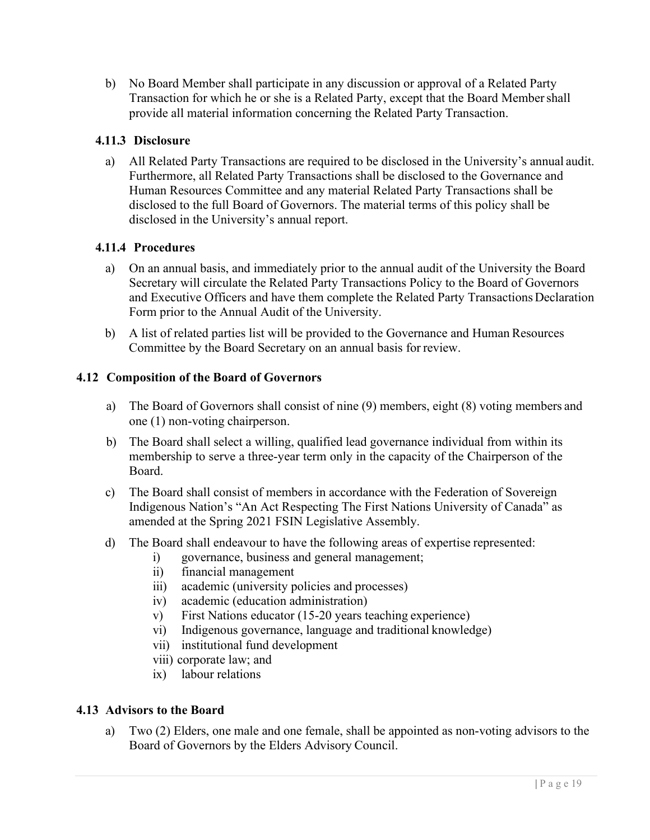b) No Board Member shall participate in any discussion or approval of a Related Party Transaction for which he or she is a Related Party, except that the Board Membershall provide all material information concerning the Related Party Transaction.

#### **4.11.3 Disclosure**

a) All Related Party Transactions are required to be disclosed in the University's annual audit. Furthermore, all Related Party Transactions shall be disclosed to the Governance and Human Resources Committee and any material Related Party Transactions shall be disclosed to the full Board of Governors. The material terms of this policy shall be disclosed in the University's annual report.

#### **4.11.4 Procedures**

- a) On an annual basis, and immediately prior to the annual audit of the University the Board Secretary will circulate the Related Party Transactions Policy to the Board of Governors and Executive Officers and have them complete the Related Party Transactions Declaration Form prior to the Annual Audit of the University.
- b) A list of related parties list will be provided to the Governance and Human Resources Committee by the Board Secretary on an annual basis for review.

#### <span id="page-19-0"></span>**4.12 Composition of the Board of Governors**

- a) The Board of Governors shall consist of nine (9) members, eight (8) voting members and one (1) non-voting chairperson.
- b) The Board shall select a willing, qualified lead governance individual from within its membership to serve a three-year term only in the capacity of the Chairperson of the Board.
- c) The Board shall consist of members in accordance with the Federation of Sovereign Indigenous Nation's "An Act Respecting The First Nations University of Canada" as amended at the Spring 2021 FSIN Legislative Assembly.
- d) The Board shall endeavour to have the following areas of expertise represented:
	- i) governance, business and general management;
	- ii) financial management
	- iii) academic (university policies and processes)
	- iv) academic (education administration)
	- v) First Nations educator (15-20 years teaching experience)
	- vi) Indigenous governance, language and traditional knowledge)
	- vii) institutional fund development
	- viii) corporate law; and
	- ix) labour relations

#### <span id="page-19-1"></span>**4.13 Advisors to the Board**

a) Two (2) Elders, one male and one female, shall be appointed as non-voting advisors to the Board of Governors by the Elders Advisory Council.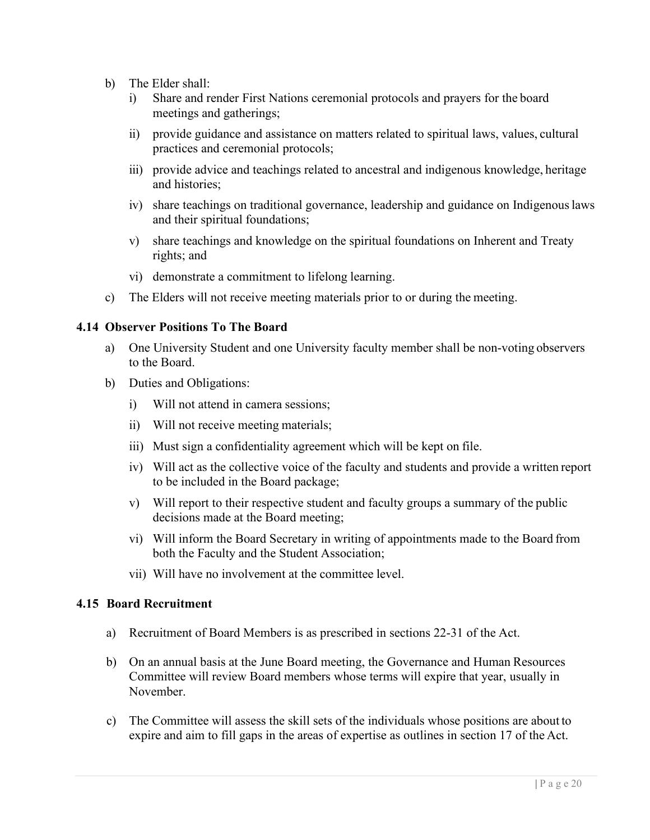- b) The Elder shall:
	- i) Share and render First Nations ceremonial protocols and prayers for the board meetings and gatherings;
	- ii) provide guidance and assistance on matters related to spiritual laws, values, cultural practices and ceremonial protocols;
	- iii) provide advice and teachings related to ancestral and indigenous knowledge, heritage and histories;
	- iv) share teachings on traditional governance, leadership and guidance on Indigenouslaws and their spiritual foundations;
	- v) share teachings and knowledge on the spiritual foundations on Inherent and Treaty rights; and
	- vi) demonstrate a commitment to lifelong learning.
- c) The Elders will not receive meeting materials prior to or during the meeting.

#### <span id="page-20-0"></span>**4.14 Observer Positions To The Board**

- a) One University Student and one University faculty member shall be non-voting observers to the Board.
- b) Duties and Obligations:
	- i) Will not attend in camera sessions;
	- ii) Will not receive meeting materials;
	- iii) Must sign a confidentiality agreement which will be kept on file.
	- iv) Will act as the collective voice of the faculty and students and provide a written report to be included in the Board package;
	- v) Will report to their respective student and faculty groups a summary of the public decisions made at the Board meeting;
	- vi) Will inform the Board Secretary in writing of appointments made to the Board from both the Faculty and the Student Association;
	- vii) Will have no involvement at the committee level.

#### <span id="page-20-1"></span>**4.15 Board Recruitment**

- a) Recruitment of Board Members is as prescribed in sections 22-31 of the Act.
- b) On an annual basis at the June Board meeting, the Governance and Human Resources Committee will review Board members whose terms will expire that year, usually in November.
- c) The Committee will assess the skill sets of the individuals whose positions are about to expire and aim to fill gaps in the areas of expertise as outlines in section 17 of the Act.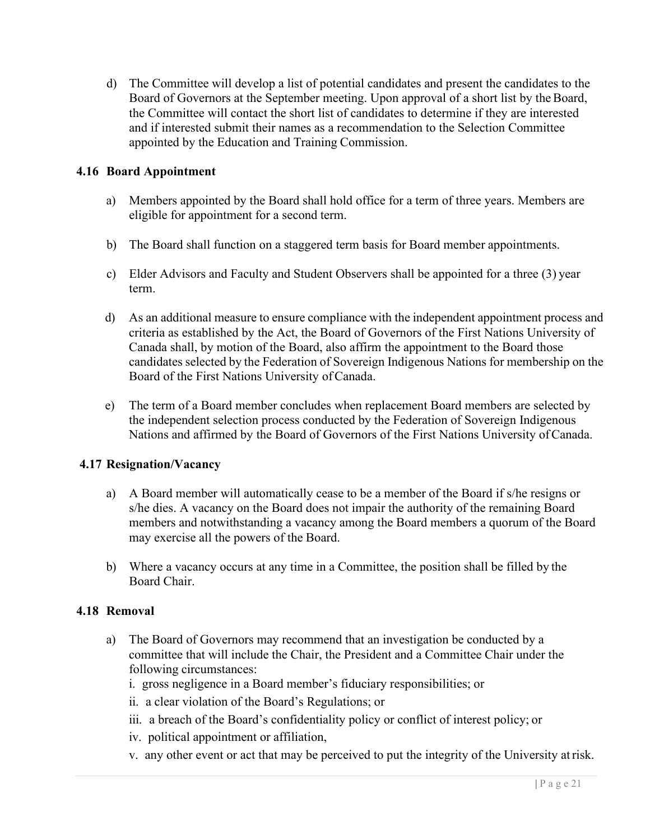d) The Committee will develop a list of potential candidates and present the candidates to the Board of Governors at the September meeting. Upon approval of a short list by the Board, the Committee will contact the short list of candidates to determine if they are interested and if interested submit their names as a recommendation to the Selection Committee appointed by the Education and Training Commission.

#### <span id="page-21-0"></span>**4.16 Board Appointment**

- a) Members appointed by the Board shall hold office for a term of three years. Members are eligible for appointment for a second term.
- b) The Board shall function on a staggered term basis for Board member appointments.
- c) Elder Advisors and Faculty and Student Observers shall be appointed for a three (3) year term.
- d) As an additional measure to ensure compliance with the independent appointment process and criteria as established by the Act, the Board of Governors of the First Nations University of Canada shall, by motion of the Board, also affirm the appointment to the Board those candidates selected by the Federation of Sovereign Indigenous Nations for membership on the Board of the First Nations University ofCanada.
- e) The term of a Board member concludes when replacement Board members are selected by the independent selection process conducted by the Federation of Sovereign Indigenous Nations and affirmed by the Board of Governors of the First Nations University ofCanada.

#### <span id="page-21-1"></span>**4.17 Resignation/Vacancy**

- a) A Board member will automatically cease to be a member of the Board if s/he resigns or s/he dies. A vacancy on the Board does not impair the authority of the remaining Board members and notwithstanding a vacancy among the Board members a quorum of the Board may exercise all the powers of the Board.
- b) Where a vacancy occurs at any time in a Committee, the position shall be filled by the Board Chair.

#### <span id="page-21-2"></span>**4.18 Removal**

- a) The Board of Governors may recommend that an investigation be conducted by a committee that will include the Chair, the President and a Committee Chair under the following circumstances:
	- i. gross negligence in a Board member's fiduciary responsibilities; or
	- ii. a clear violation of the Board's Regulations; or
	- iii. a breach of the Board's confidentiality policy or conflict of interest policy; or
	- iv. political appointment or affiliation,
	- v. any other event or act that may be perceived to put the integrity of the University atrisk.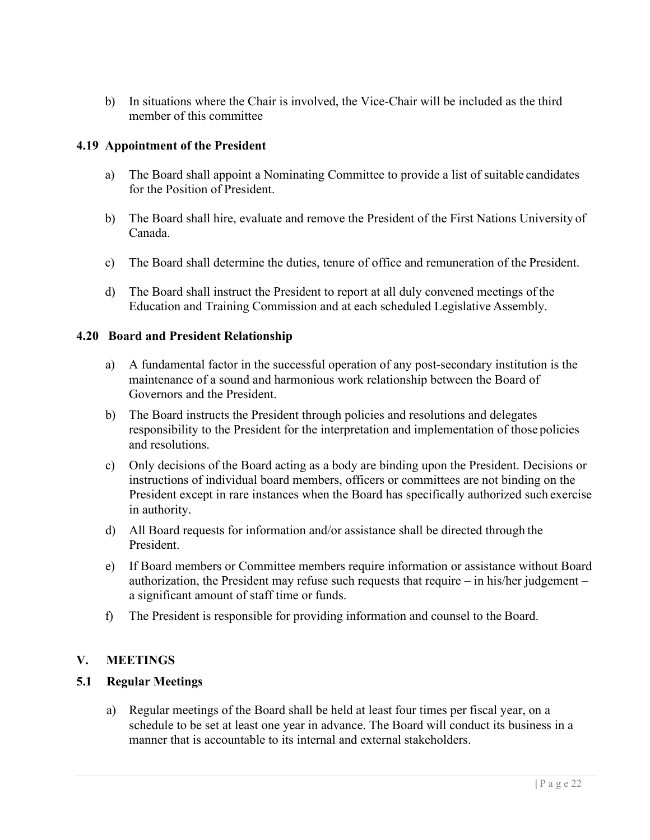b) In situations where the Chair is involved, the Vice-Chair will be included as the third member of this committee

#### <span id="page-22-0"></span>**4.19 Appointment of the President**

- a) The Board shall appoint a Nominating Committee to provide a list of suitable candidates for the Position of President.
- b) The Board shall hire, evaluate and remove the President of the First Nations University of Canada.
- c) The Board shall determine the duties, tenure of office and remuneration of the President.
- d) The Board shall instruct the President to report at all duly convened meetings of the Education and Training Commission and at each scheduled Legislative Assembly.

#### <span id="page-22-1"></span>**4.20 Board and President Relationship**

- a) A fundamental factor in the successful operation of any post-secondary institution is the maintenance of a sound and harmonious work relationship between the Board of Governors and the President.
- b) The Board instructs the President through policies and resolutions and delegates responsibility to the President for the interpretation and implementation of those policies and resolutions.
- c) Only decisions of the Board acting as a body are binding upon the President. Decisions or instructions of individual board members, officers or committees are not binding on the President except in rare instances when the Board has specifically authorized such exercise in authority.
- d) All Board requests for information and/or assistance shall be directed through the President.
- e) If Board members or Committee members require information or assistance without Board authorization, the President may refuse such requests that require – in his/her judgement – a significant amount of staff time or funds.
- f) The President is responsible for providing information and counsel to the Board.

#### <span id="page-22-2"></span>**V. MEETINGS**

#### <span id="page-22-3"></span>**5.1 Regular Meetings**

a) Regular meetings of the Board shall be held at least four times per fiscal year, on a schedule to be set at least one year in advance. The Board will conduct its business in a manner that is accountable to its internal and external stakeholders.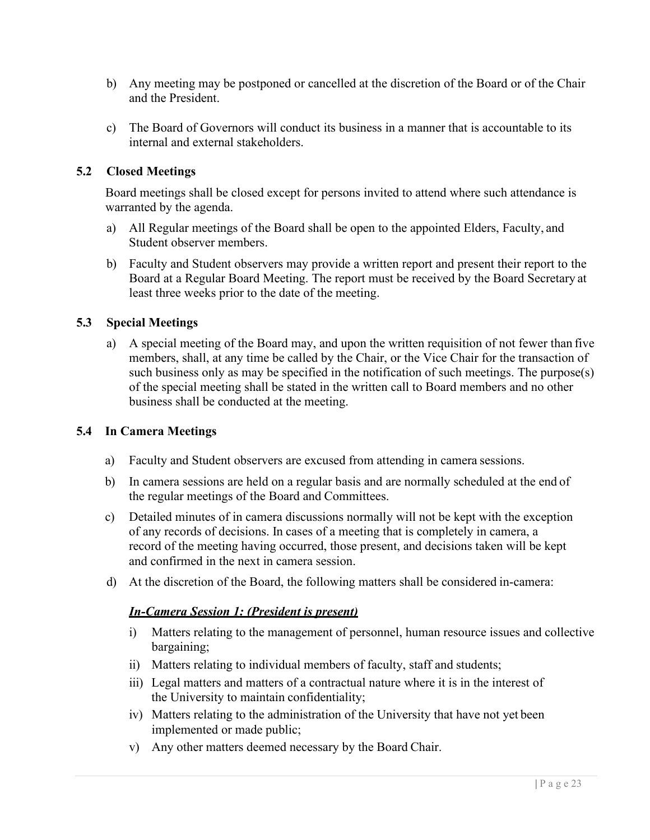- b) Any meeting may be postponed or cancelled at the discretion of the Board or of the Chair and the President.
- c) The Board of Governors will conduct its business in a manner that is accountable to its internal and external stakeholders.

#### <span id="page-23-0"></span>**5.2 Closed Meetings**

Board meetings shall be closed except for persons invited to attend where such attendance is warranted by the agenda.

- a) All Regular meetings of the Board shall be open to the appointed Elders, Faculty, and Student observer members.
- b) Faculty and Student observers may provide a written report and present their report to the Board at a Regular Board Meeting. The report must be received by the Board Secretary at least three weeks prior to the date of the meeting.

#### <span id="page-23-1"></span>**5.3 Special Meetings**

a) A special meeting of the Board may, and upon the written requisition of not fewer than five members, shall, at any time be called by the Chair, or the Vice Chair for the transaction of such business only as may be specified in the notification of such meetings. The purpose(s) of the special meeting shall be stated in the written call to Board members and no other business shall be conducted at the meeting.

#### <span id="page-23-2"></span>**5.4 In Camera Meetings**

- a) Faculty and Student observers are excused from attending in camera sessions.
- b) In camera sessions are held on a regular basis and are normally scheduled at the end of the regular meetings of the Board and Committees.
- c) Detailed minutes of in camera discussions normally will not be kept with the exception of any records of decisions. In cases of a meeting that is completely in camera, a record of the meeting having occurred, those present, and decisions taken will be kept and confirmed in the next in camera session.
- d) At the discretion of the Board, the following matters shall be considered in-camera:

#### *In-Camera Session 1: (President is present)*

- i) Matters relating to the management of personnel, human resource issues and collective bargaining;
- ii) Matters relating to individual members of faculty, staff and students;
- iii) Legal matters and matters of a contractual nature where it is in the interest of the University to maintain confidentiality;
- iv) Matters relating to the administration of the University that have not yet been implemented or made public;
- v) Any other matters deemed necessary by the Board Chair.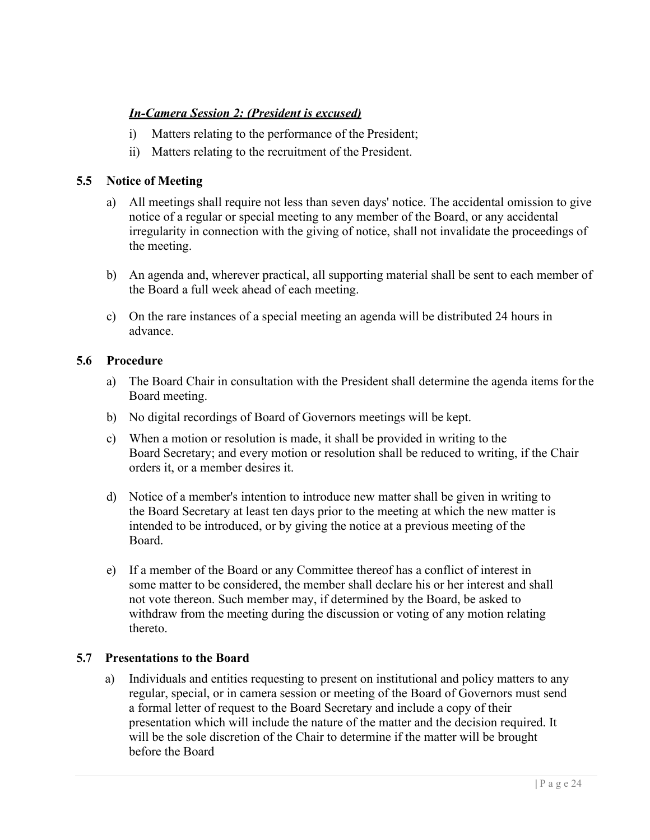#### *In-Camera Session 2: (President is excused)*

- i) Matters relating to the performance of the President;
- ii) Matters relating to the recruitment of the President.

#### <span id="page-24-0"></span>**5.5 Notice of Meeting**

- a) All meetings shall require not less than seven days' notice. The accidental omission to give notice of a regular or special meeting to any member of the Board, or any accidental irregularity in connection with the giving of notice, shall not invalidate the proceedings of the meeting.
- b) An agenda and, wherever practical, all supporting material shall be sent to each member of the Board a full week ahead of each meeting.
- c) On the rare instances of a special meeting an agenda will be distributed 24 hours in advance.

#### <span id="page-24-1"></span>**5.6 Procedure**

- a) The Board Chair in consultation with the President shall determine the agenda items forthe Board meeting.
- b) No digital recordings of Board of Governors meetings will be kept.
- c) When a motion or resolution is made, it shall be provided in writing to the Board Secretary; and every motion or resolution shall be reduced to writing, if the Chair orders it, or a member desires it.
- d) Notice of a member's intention to introduce new matter shall be given in writing to the Board Secretary at least ten days prior to the meeting at which the new matter is intended to be introduced, or by giving the notice at a previous meeting of the Board.
- e) If a member of the Board or any Committee thereof has a conflict of interest in some matter to be considered, the member shall declare his or her interest and shall not vote thereon. Such member may, if determined by the Board, be asked to withdraw from the meeting during the discussion or voting of any motion relating thereto.

#### <span id="page-24-2"></span>**5.7 Presentations to the Board**

a) Individuals and entities requesting to present on institutional and policy matters to any regular, special, or in camera session or meeting of the Board of Governors must send a formal letter of request to the Board Secretary and include a copy of their presentation which will include the nature of the matter and the decision required. It will be the sole discretion of the Chair to determine if the matter will be brought before the Board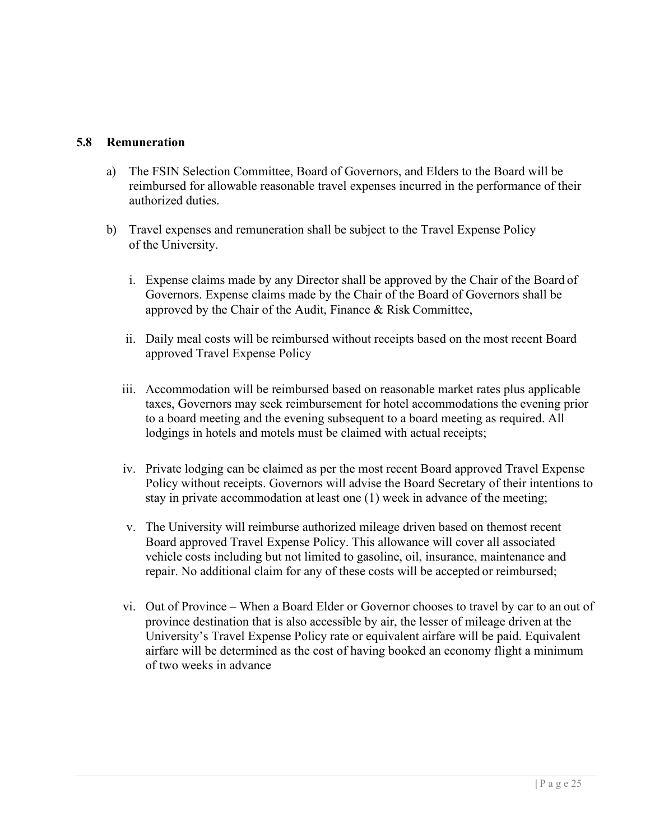#### <span id="page-25-0"></span>**5.8 Remuneration**

- a) The FSIN Selection Committee, Board of Governors, and Elders to the Board will be reimbursed for allowable reasonable travel expenses incurred in the performance of their authorized duties.
- b) Travel expenses and remuneration shall be subject to the Travel Expense Policy of the University.
	- i. Expense claims made by any Director shall be approved by the Chair of the Board of Governors. Expense claims made by the Chair of the Board of Governors shall be approved by the Chair of the Audit, Finance & Risk Committee,
	- ii. Daily meal costs will be reimbursed without receipts based on the most recent Board approved Travel Expense Policy
	- iii. Accommodation will be reimbursed based on reasonable market rates plus applicable taxes, Governors may seek reimbursement for hotel accommodations the evening prior to a board meeting and the evening subsequent to a board meeting as required. All lodgings in hotels and motels must be claimed with actual receipts;
	- iv. Private lodging can be claimed as per the most recent Board approved Travel Expense Policy without receipts. Governors will advise the Board Secretary of their intentions to stay in private accommodation at least one (1) week in advance of the meeting;
	- v. The University will reimburse authorized mileage driven based on themost recent Board approved Travel Expense Policy. This allowance will cover all associated vehicle costs including but not limited to gasoline, oil, insurance, maintenance and repair. No additional claim for any of these costs will be accepted or reimbursed;
	- vi. Out of Province When a Board Elder or Governor chooses to travel by car to an out of province destination that is also accessible by air, the lesser of mileage driven at the University's Travel Expense Policy rate or equivalent airfare will be paid. Equivalent airfare will be determined as the cost of having booked an economy flight a minimum of two weeks in advance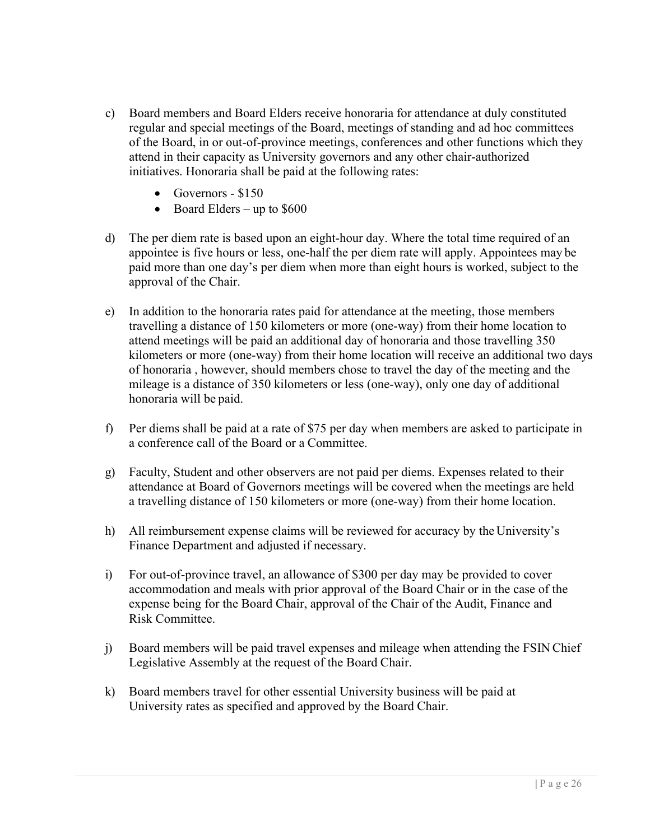- c) Board members and Board Elders receive honoraria for attendance at duly constituted regular and special meetings of the Board, meetings of standing and ad hoc committees of the Board, in or out-of-province meetings, conferences and other functions which they attend in their capacity as University governors and any other chair-authorized initiatives. Honoraria shall be paid at the following rates:
	- Governors \$150
	- Board Elders up to  $$600$
- d) The per diem rate is based upon an eight-hour day. Where the total time required of an appointee is five hours or less, one-half the per diem rate will apply. Appointees may be paid more than one day's per diem when more than eight hours is worked, subject to the approval of the Chair.
- e) In addition to the honoraria rates paid for attendance at the meeting, those members travelling a distance of 150 kilometers or more (one-way) from their home location to attend meetings will be paid an additional day of honoraria and those travelling 350 kilometers or more (one-way) from their home location will receive an additional two days of honoraria , however, should members chose to travel the day of the meeting and the mileage is a distance of 350 kilometers or less (one-way), only one day of additional honoraria will be paid.
- f) Per diems shall be paid at a rate of \$75 per day when members are asked to participate in a conference call of the Board or a Committee.
- g) Faculty, Student and other observers are not paid per diems. Expenses related to their attendance at Board of Governors meetings will be covered when the meetings are held a travelling distance of 150 kilometers or more (one-way) from their home location.
- h) All reimbursement expense claims will be reviewed for accuracy by the University's Finance Department and adjusted if necessary.
- i) For out-of-province travel, an allowance of \$300 per day may be provided to cover accommodation and meals with prior approval of the Board Chair or in the case of the expense being for the Board Chair, approval of the Chair of the Audit, Finance and Risk Committee.
- j) Board members will be paid travel expenses and mileage when attending the FSIN Chief Legislative Assembly at the request of the Board Chair.
- k) Board members travel for other essential University business will be paid at University rates as specified and approved by the Board Chair.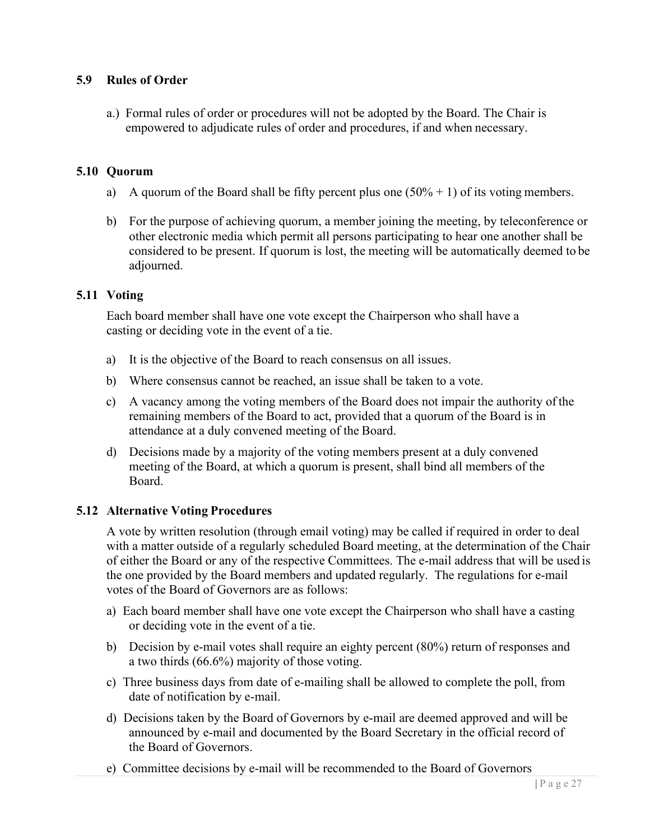#### <span id="page-27-0"></span>**5.9 Rules of Order**

a.) Formal rules of order or procedures will not be adopted by the Board. The Chair is empowered to adjudicate rules of order and procedures, if and when necessary.

#### **5.10 Quorum**

- a) A quorum of the Board shall be fifty percent plus one  $(50\% + 1)$  of its voting members.
- b) For the purpose of achieving quorum, a member joining the meeting, by teleconference or other electronic media which permit all persons participating to hear one another shall be considered to be present. If quorum is lost, the meeting will be automatically deemed to be adjourned.

#### **5.11 Voting**

Each board member shall have one vote except the Chairperson who shall have a casting or deciding vote in the event of a tie.

- a) It is the objective of the Board to reach consensus on all issues.
- b) Where consensus cannot be reached, an issue shall be taken to a vote.
- c) A vacancy among the voting members of the Board does not impair the authority of the remaining members of the Board to act, provided that a quorum of the Board is in attendance at a duly convened meeting of the Board.
- d) Decisions made by a majority of the voting members present at a duly convened meeting of the Board, at which a quorum is present, shall bind all members of the Board.

#### **5.12 Alternative Voting Procedures**

A vote by written resolution (through email voting) may be called if required in order to deal with a matter outside of a regularly scheduled Board meeting, at the determination of the Chair of either the Board or any of the respective Committees. The e-mail address that will be used is the one provided by the Board members and updated regularly. The regulations for e-mail votes of the Board of Governors are as follows:

- a) Each board member shall have one vote except the Chairperson who shall have a casting or deciding vote in the event of a tie.
- b) Decision by e-mail votes shall require an eighty percent (80%) return of responses and a two thirds (66.6%) majority of those voting.
- c) Three business days from date of e-mailing shall be allowed to complete the poll, from date of notification by e-mail.
- d) Decisions taken by the Board of Governors by e-mail are deemed approved and will be announced by e-mail and documented by the Board Secretary in the official record of the Board of Governors.
- e) Committee decisions by e-mail will be recommended to the Board of Governors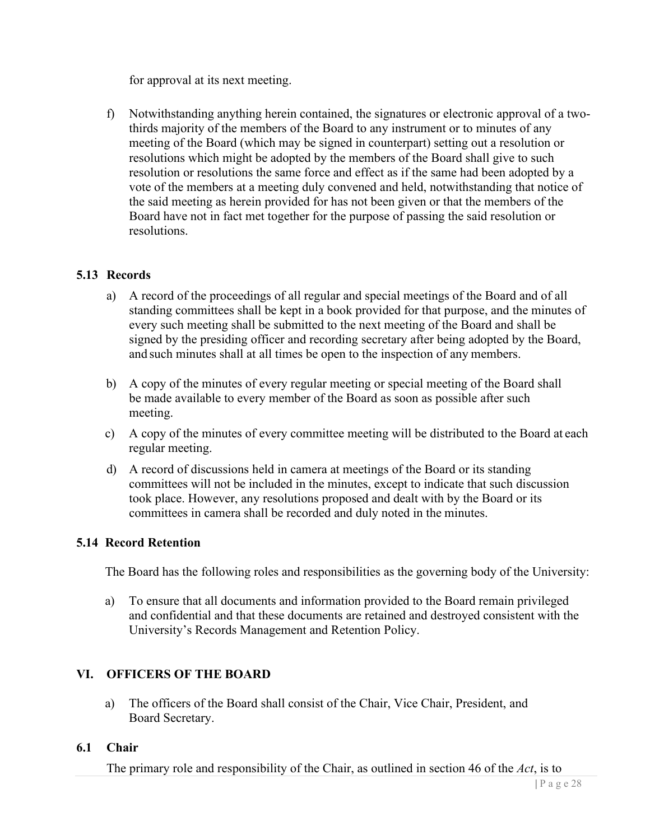for approval at its next meeting.

f) Notwithstanding anything herein contained, the signatures or electronic approval of a twothirds majority of the members of the Board to any instrument or to minutes of any meeting of the Board (which may be signed in counterpart) setting out a resolution or resolutions which might be adopted by the members of the Board shall give to such resolution or resolutions the same force and effect as if the same had been adopted by a vote of the members at a meeting duly convened and held, notwithstanding that notice of the said meeting as herein provided for has not been given or that the members of the Board have not in fact met together for the purpose of passing the said resolution or resolutions.

#### **5.13 Records**

- a) A record of the proceedings of all regular and special meetings of the Board and of all standing committees shall be kept in a book provided for that purpose, and the minutes of every such meeting shall be submitted to the next meeting of the Board and shall be signed by the presiding officer and recording secretary after being adopted by the Board, and such minutes shall at all times be open to the inspection of any members.
- b) A copy of the minutes of every regular meeting or special meeting of the Board shall be made available to every member of the Board as soon as possible after such meeting.
- c) A copy of the minutes of every committee meeting will be distributed to the Board at each regular meeting.
- d) A record of discussions held in camera at meetings of the Board or its standing committees will not be included in the minutes, except to indicate that such discussion took place. However, any resolutions proposed and dealt with by the Board or its committees in camera shall be recorded and duly noted in the minutes.

#### **5.14 Record Retention**

The Board has the following roles and responsibilities as the governing body of the University:

a) To ensure that all documents and information provided to the Board remain privileged and confidential and that these documents are retained and destroyed consistent with the University's Records Management and Retention Policy.

#### **VI. OFFICERS OF THE BOARD**

a) The officers of the Board shall consist of the Chair, Vice Chair, President, and Board Secretary.

#### **6.1 Chair**

The primary role and responsibility of the Chair, as outlined in section 46 of the *Act*, is to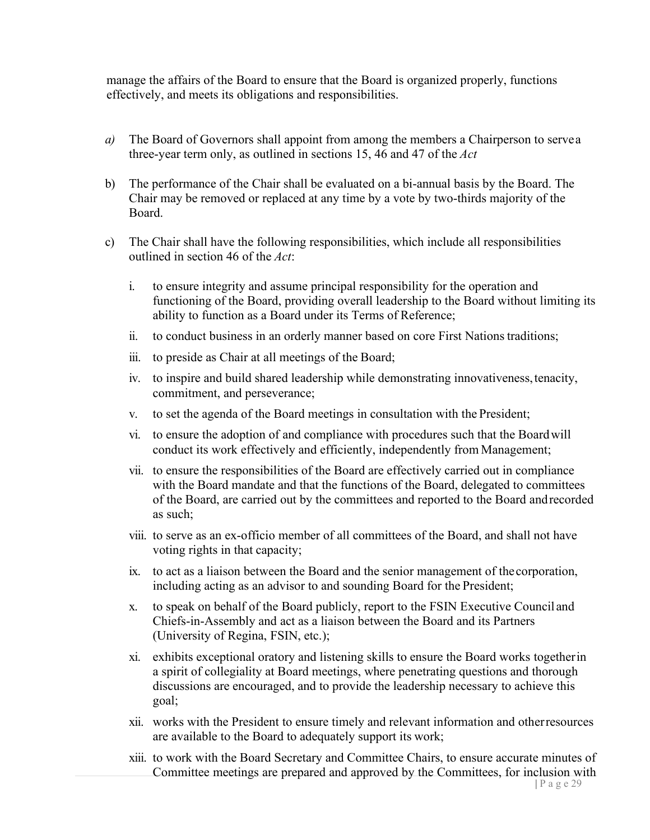manage the affairs of the Board to ensure that the Board is organized properly, functions effectively, and meets its obligations and responsibilities.

- *a)* The Board of Governors shall appoint from among the members a Chairperson to servea three-year term only, as outlined in sections 15, 46 and 47 of the *Act*
- b) The performance of the Chair shall be evaluated on a bi-annual basis by the Board. The Chair may be removed or replaced at any time by a vote by two-thirds majority of the Board.
- c) The Chair shall have the following responsibilities, which include all responsibilities outlined in section 46 of the *Act*:
	- i. to ensure integrity and assume principal responsibility for the operation and functioning of the Board, providing overall leadership to the Board without limiting its ability to function as a Board under its Terms of Reference;
	- ii. to conduct business in an orderly manner based on core First Nationstraditions;
	- iii. to preside as Chair at all meetings of the Board;
	- iv. to inspire and build shared leadership while demonstrating innovativeness, tenacity, commitment, and perseverance;
	- v. to set the agenda of the Board meetings in consultation with the President;
	- vi. to ensure the adoption of and compliance with procedures such that the Boardwill conduct its work effectively and efficiently, independently from Management;
	- vii. to ensure the responsibilities of the Board are effectively carried out in compliance with the Board mandate and that the functions of the Board, delegated to committees of the Board, are carried out by the committees and reported to the Board andrecorded as such;
	- viii. to serve as an ex-officio member of all committees of the Board, and shall not have voting rights in that capacity;
	- ix. to act as a liaison between the Board and the senior management of thecorporation, including acting as an advisor to and sounding Board for the President;
	- x. to speak on behalf of the Board publicly, report to the FSIN Executive Council and Chiefs-in-Assembly and act as a liaison between the Board and its Partners (University of Regina, FSIN, etc.);
	- xi. exhibits exceptional oratory and listening skills to ensure the Board works togetherin a spirit of collegiality at Board meetings, where penetrating questions and thorough discussions are encouraged, and to provide the leadership necessary to achieve this goal;
	- xii. works with the President to ensure timely and relevant information and otherresources are available to the Board to adequately support its work;
	- xiii. to work with the Board Secretary and Committee Chairs, to ensure accurate minutes of Committee meetings are prepared and approved by the Committees, for inclusion with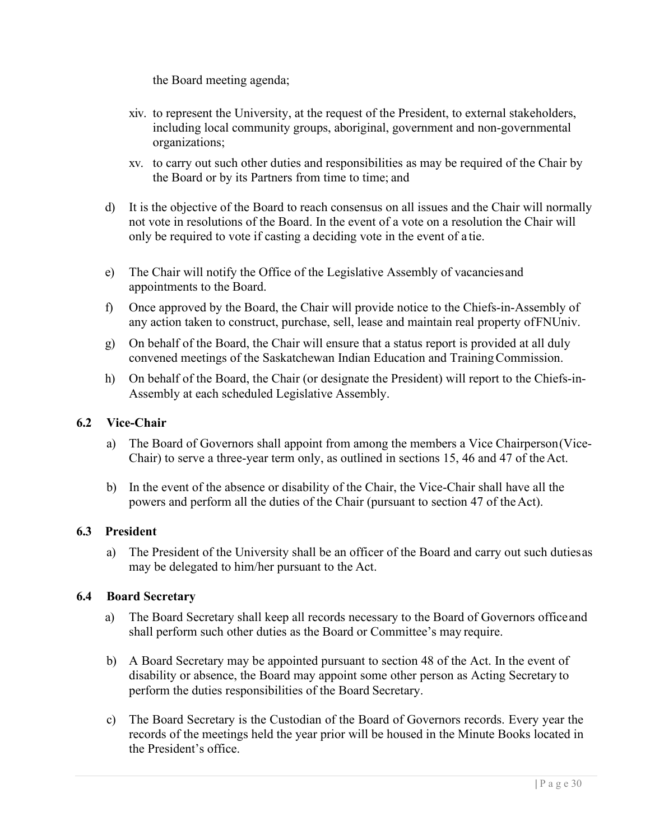the Board meeting agenda;

- xiv. to represent the University, at the request of the President, to external stakeholders, including local community groups, aboriginal, government and non-governmental organizations;
- xv. to carry out such other duties and responsibilities as may be required of the Chair by the Board or by its Partners from time to time; and
- d) It is the objective of the Board to reach consensus on all issues and the Chair will normally not vote in resolutions of the Board. In the event of a vote on a resolution the Chair will only be required to vote if casting a deciding vote in the event of a tie.
- e) The Chair will notify the Office of the Legislative Assembly of vacanciesand appointments to the Board.
- f) Once approved by the Board, the Chair will provide notice to the Chiefs-in-Assembly of any action taken to construct, purchase, sell, lease and maintain real property ofFNUniv.
- g) On behalf of the Board, the Chair will ensure that a status report is provided at all duly convened meetings of the Saskatchewan Indian Education and TrainingCommission.
- h) On behalf of the Board, the Chair (or designate the President) will report to the Chiefs-in-Assembly at each scheduled Legislative Assembly.

#### **6.2 Vice-Chair**

- a) The Board of Governors shall appoint from among the members a Vice Chairperson(Vice-Chair) to serve a three-year term only, as outlined in sections 15, 46 and 47 of the Act.
- b) In the event of the absence or disability of the Chair, the Vice-Chair shall have all the powers and perform all the duties of the Chair (pursuant to section 47 of theAct).

#### **6.3 President**

a) The President of the University shall be an officer of the Board and carry out such dutiesas may be delegated to him/her pursuant to the Act.

#### **6.4 Board Secretary**

- a) The Board Secretary shall keep all records necessary to the Board of Governors officeand shall perform such other duties as the Board or Committee's may require.
- b) A Board Secretary may be appointed pursuant to section 48 of the Act. In the event of disability or absence, the Board may appoint some other person as Acting Secretary to perform the duties responsibilities of the Board Secretary.
- c) The Board Secretary is the Custodian of the Board of Governors records. Every year the records of the meetings held the year prior will be housed in the Minute Books located in the President's office.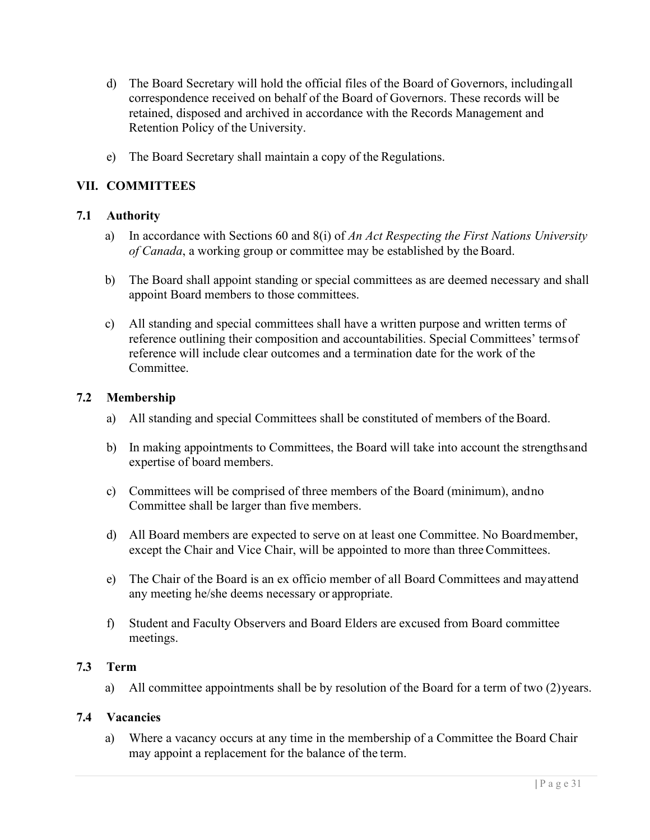- d) The Board Secretary will hold the official files of the Board of Governors, includingall correspondence received on behalf of the Board of Governors. These records will be retained, disposed and archived in accordance with the Records Management and Retention Policy of the University.
- e) The Board Secretary shall maintain a copy of the Regulations.

#### **VII. COMMITTEES**

#### **7.1 Authority**

- a) In accordance with Sections 60 and 8(i) of *An Act Respecting the First Nations University of Canada*, a working group or committee may be established by the Board.
- b) The Board shall appoint standing or special committees as are deemed necessary and shall appoint Board members to those committees.
- c) All standing and special committees shall have a written purpose and written terms of reference outlining their composition and accountabilities. Special Committees' termsof reference will include clear outcomes and a termination date for the work of the Committee.

#### **7.2 Membership**

- a) All standing and special Committees shall be constituted of members of the Board.
- b) In making appointments to Committees, the Board will take into account the strengthsand expertise of board members.
- c) Committees will be comprised of three members of the Board (minimum), andno Committee shall be larger than five members.
- d) All Board members are expected to serve on at least one Committee. No Boardmember, except the Chair and Vice Chair, will be appointed to more than three Committees.
- e) The Chair of the Board is an ex officio member of all Board Committees and mayattend any meeting he/she deems necessary or appropriate.
- f) Student and Faculty Observers and Board Elders are excused from Board committee meetings.

#### **7.3 Term**

a) All committee appointments shall be by resolution of the Board for a term of two (2)years.

#### **7.4 Vacancies**

a) Where a vacancy occurs at any time in the membership of a Committee the Board Chair may appoint a replacement for the balance of the term.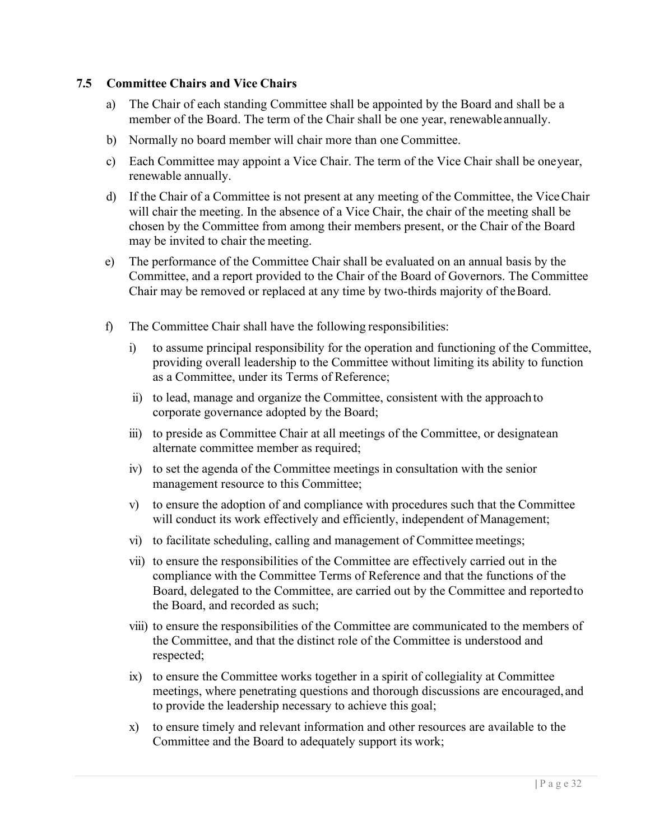#### **7.5 Committee Chairs and Vice Chairs**

- a) The Chair of each standing Committee shall be appointed by the Board and shall be a member of the Board. The term of the Chair shall be one year, renewable annually.
- b) Normally no board member will chair more than one Committee.
- c) Each Committee may appoint a Vice Chair. The term of the Vice Chair shall be oneyear, renewable annually.
- d) If the Chair of a Committee is not present at any meeting of the Committee, the ViceChair will chair the meeting. In the absence of a Vice Chair, the chair of the meeting shall be chosen by the Committee from among their members present, or the Chair of the Board may be invited to chair the meeting.
- e) The performance of the Committee Chair shall be evaluated on an annual basis by the Committee, and a report provided to the Chair of the Board of Governors. The Committee Chair may be removed or replaced at any time by two-thirds majority of theBoard.
- f) The Committee Chair shall have the following responsibilities:
	- i) to assume principal responsibility for the operation and functioning of the Committee, providing overall leadership to the Committee without limiting its ability to function as a Committee, under its Terms of Reference;
	- ii) to lead, manage and organize the Committee, consistent with the approachto corporate governance adopted by the Board;
	- iii) to preside as Committee Chair at all meetings of the Committee, or designatean alternate committee member as required;
	- iv) to set the agenda of the Committee meetings in consultation with the senior management resource to this Committee;
	- v) to ensure the adoption of and compliance with procedures such that the Committee will conduct its work effectively and efficiently, independent of Management;
	- vi) to facilitate scheduling, calling and management of Committee meetings;
	- vii) to ensure the responsibilities of the Committee are effectively carried out in the compliance with the Committee Terms of Reference and that the functions of the Board, delegated to the Committee, are carried out by the Committee and reportedto the Board, and recorded as such;
	- viii) to ensure the responsibilities of the Committee are communicated to the members of the Committee, and that the distinct role of the Committee is understood and respected;
	- ix) to ensure the Committee works together in a spirit of collegiality at Committee meetings, where penetrating questions and thorough discussions are encouraged, and to provide the leadership necessary to achieve this goal;
	- x) to ensure timely and relevant information and other resources are available to the Committee and the Board to adequately support its work;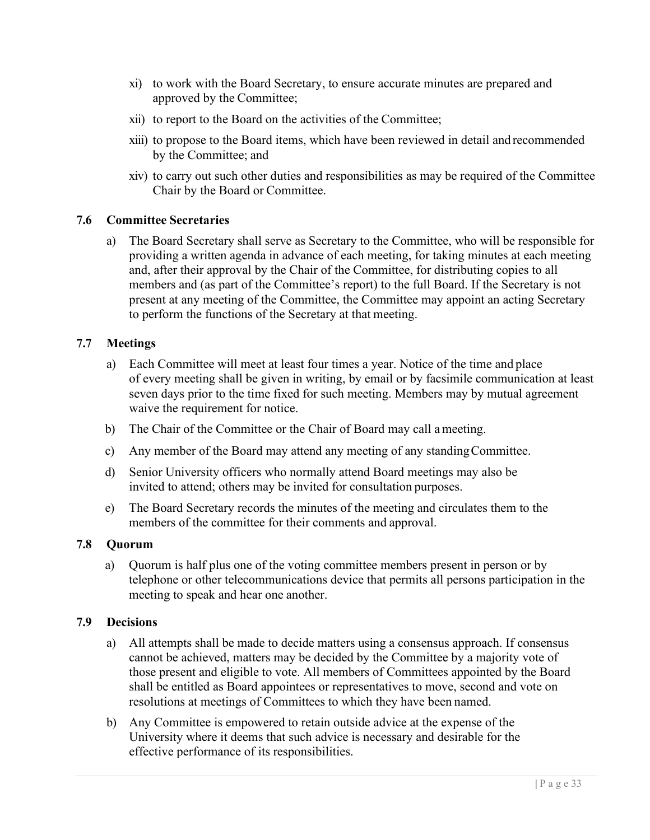- xi) to work with the Board Secretary, to ensure accurate minutes are prepared and approved by the Committee;
- xii) to report to the Board on the activities of the Committee;
- xiii) to propose to the Board items, which have been reviewed in detail and recommended by the Committee; and
- xiv) to carry out such other duties and responsibilities as may be required of the Committee Chair by the Board or Committee.

#### **7.6 Committee Secretaries**

a) The Board Secretary shall serve as Secretary to the Committee, who will be responsible for providing a written agenda in advance of each meeting, for taking minutes at each meeting and, after their approval by the Chair of the Committee, for distributing copies to all members and (as part of the Committee's report) to the full Board. If the Secretary is not present at any meeting of the Committee, the Committee may appoint an acting Secretary to perform the functions of the Secretary at that meeting.

#### **7.7 Meetings**

- a) Each Committee will meet at least four times a year. Notice of the time and place of every meeting shall be given in writing, by email or by facsimile communication at least seven days prior to the time fixed for such meeting. Members may by mutual agreement waive the requirement for notice.
- b) The Chair of the Committee or the Chair of Board may call ameeting.
- c) Any member of the Board may attend any meeting of any standingCommittee.
- d) Senior University officers who normally attend Board meetings may also be invited to attend; others may be invited for consultation purposes.
- e) The Board Secretary records the minutes of the meeting and circulates them to the members of the committee for their comments and approval.

#### **7.8 Quorum**

a) Quorum is half plus one of the voting committee members present in person or by telephone or other telecommunications device that permits all persons participation in the meeting to speak and hear one another.

#### **7.9 Decisions**

- a) All attempts shall be made to decide matters using a consensus approach. If consensus cannot be achieved, matters may be decided by the Committee by a majority vote of those present and eligible to vote. All members of Committees appointed by the Board shall be entitled as Board appointees or representatives to move, second and vote on resolutions at meetings of Committees to which they have been named.
- b) Any Committee is empowered to retain outside advice at the expense of the University where it deems that such advice is necessary and desirable for the effective performance of its responsibilities.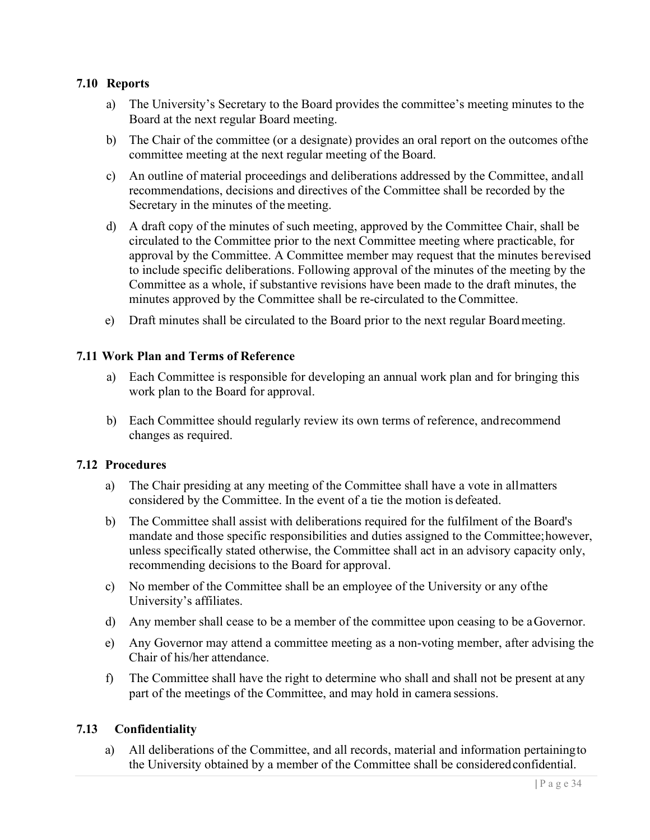#### **7.10 Reports**

- a) The University's Secretary to the Board provides the committee's meeting minutes to the Board at the next regular Board meeting.
- b) The Chair of the committee (or a designate) provides an oral report on the outcomes ofthe committee meeting at the next regular meeting of the Board.
- c) An outline of material proceedings and deliberations addressed by the Committee, andall recommendations, decisions and directives of the Committee shall be recorded by the Secretary in the minutes of the meeting.
- d) A draft copy of the minutes of such meeting, approved by the Committee Chair, shall be circulated to the Committee prior to the next Committee meeting where practicable, for approval by the Committee. A Committee member may request that the minutes berevised to include specific deliberations. Following approval of the minutes of the meeting by the Committee as a whole, if substantive revisions have been made to the draft minutes, the minutes approved by the Committee shall be re-circulated to the Committee.
- e) Draft minutes shall be circulated to the Board prior to the next regular Boardmeeting.

#### **7.11 Work Plan and Terms of Reference**

- a) Each Committee is responsible for developing an annual work plan and for bringing this work plan to the Board for approval.
- b) Each Committee should regularly review its own terms of reference, andrecommend changes as required.

#### **7.12 Procedures**

- a) The Chair presiding at any meeting of the Committee shall have a vote in allmatters considered by the Committee. In the event of a tie the motion is defeated.
- b) The Committee shall assist with deliberations required for the fulfilment of the Board's mandate and those specific responsibilities and duties assigned to the Committee;however, unless specifically stated otherwise, the Committee shall act in an advisory capacity only, recommending decisions to the Board for approval.
- c) No member of the Committee shall be an employee of the University or any ofthe University's affiliates.
- d) Any member shall cease to be a member of the committee upon ceasing to be aGovernor.
- e) Any Governor may attend a committee meeting as a non-voting member, after advising the Chair of his/her attendance.
- f) The Committee shall have the right to determine who shall and shall not be present at any part of the meetings of the Committee, and may hold in camera sessions.

#### **7.13 Confidentiality**

a) All deliberations of the Committee, and all records, material and information pertainingto the University obtained by a member of the Committee shall be consideredconfidential.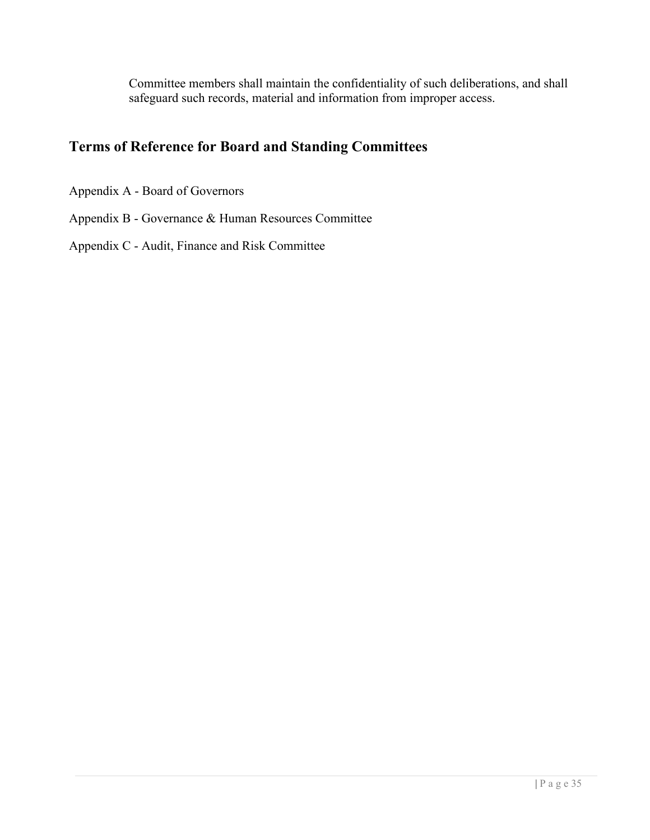Committee members shall maintain the confidentiality of such deliberations, and shall safeguard such records, material and information from improper access.

# **Terms of Reference for Board and Standing Committees**

Appendix A - Board of Governors

Appendix B - Governance & Human Resources Committee

Appendix C - Audit, Finance and Risk Committee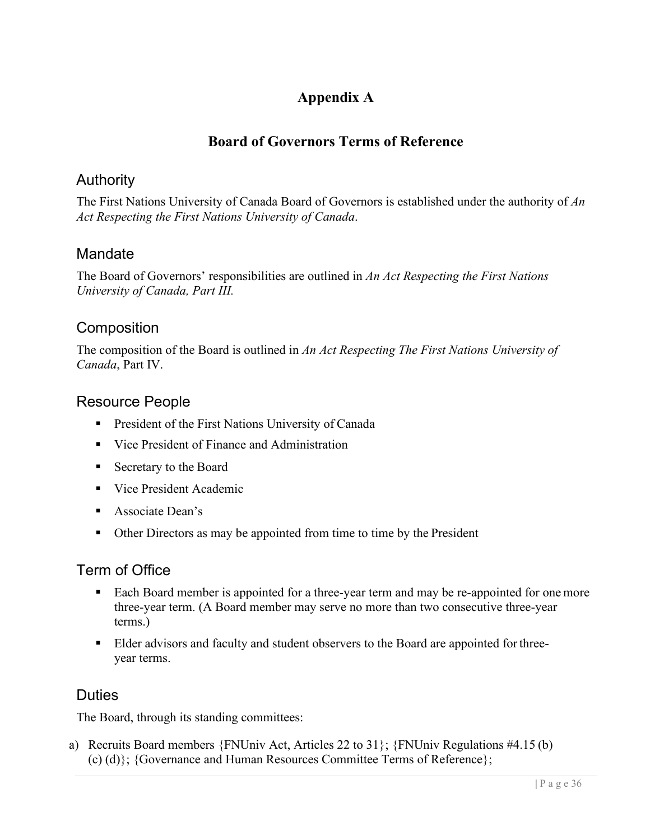# **Appendix A**

# **Board of Governors Terms of Reference**

# Authority

The First Nations University of Canada Board of Governors is established under the authority of *An Act Respecting the First Nations University of Canada*.

# Mandate

The Board of Governors' responsibilities are outlined in *An Act Respecting the First Nations University of Canada, Part III.*

# **Composition**

The composition of the Board is outlined in *An Act Respecting The First Nations University of Canada*, Part IV.

# Resource People

- **President of the First Nations University of Canada**
- Vice President of Finance and Administration
- **Secretary to the Board**
- Vice President Academic
- **Associate Dean's**
- Other Directors as may be appointed from time to time by the President

# Term of Office

- Each Board member is appointed for a three-year term and may be re-appointed for one more three-year term. (A Board member may serve no more than two consecutive three-year terms.)
- **Elder advisors and faculty and student observers to the Board are appointed for three**year terms.

# **Duties**

The Board, through its standing committees:

a) Recruits Board members {FNUniv Act, Articles 22 to 31}; {FNUniv Regulations #4.15 (b) (c) (d)}; {Governance and Human Resources Committee Terms of Reference};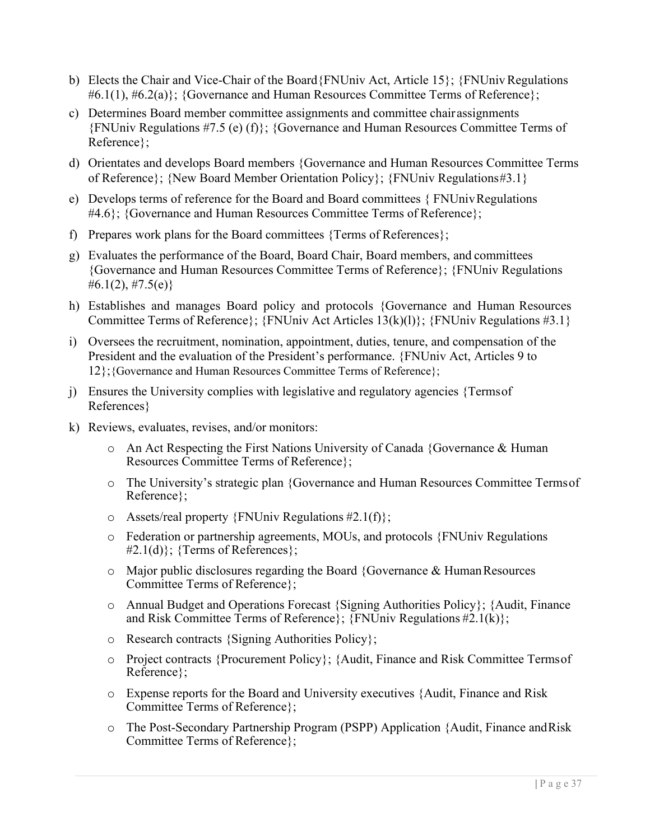- b) Elects the Chair and Vice-Chair of the Board ${FNU}$ niv Act, Article 15 $\}$ ;  ${FNU}$ niv Regulations  $\#6.1(1), \#6.2(a)$ : {Governance and Human Resources Committee Terms of Reference};
- c) Determines Board member committee assignments and committee chairassignments {FNUniv Regulations #7.5 (e) (f)}; {Governance and Human Resources Committee Terms of Reference};
- d) Orientates and develops Board members {Governance and Human Resources Committee Terms of Reference}; {New Board Member Orientation Policy}; {FNUniv Regulations#3.1}
- e) Develops terms of reference for the Board and Board committees { FNUnivRegulations #4.6}; {Governance and Human Resources Committee Terms of Reference};
- f) Prepares work plans for the Board committees {Terms of References};
- g) Evaluates the performance of the Board, Board Chair, Board members, and committees {Governance and Human Resources Committee Terms of Reference}; {FNUniv Regulations #6.1(2), #7.5(e)}
- h) Establishes and manages Board policy and protocols {Governance and Human Resources Committee Terms of Reference};  $\{FNUniv$  Act Articles  $13(k)(1)$ };  $\{FWUniv$  Regulations #3.1}
- i) Oversees the recruitment, nomination, appointment, duties, tenure, and compensation of the President and the evaluation of the President's performance. {FNUniv Act, Articles 9 to 12};{Governance and Human Resources Committee Terms of Reference};
- j) Ensures the University complies with legislative and regulatory agencies {Termsof References}
- k) Reviews, evaluates, revises, and/or monitors:
	- o An Act Respecting the First Nations University of Canada {Governance & Human Resources Committee Terms of Reference};
	- o The University's strategic plan {Governance and Human Resources Committee Termsof Reference};
	- $\circ$  Assets/real property {FNUniv Regulations #2.1(f)};
	- o Federation or partnership agreements, MOUs, and protocols {FNUniv Regulations  $#2.1(d)$ ; {Terms of References};
	- $\circ$  Major public disclosures regarding the Board {Governance & Human Resources Committee Terms of Reference};
	- o Annual Budget and Operations Forecast {Signing Authorities Policy}; {Audit, Finance and Risk Committee Terms of Reference};  $\{FNUniv$  Regulations #2.1(k)};
	- o Research contracts {Signing Authorities Policy};
	- o Project contracts {Procurement Policy}; {Audit, Finance and Risk Committee Termsof Reference};
	- o Expense reports for the Board and University executives {Audit, Finance and Risk Committee Terms of Reference};
	- o The Post-Secondary Partnership Program (PSPP) Application {Audit, Finance andRisk Committee Terms of Reference};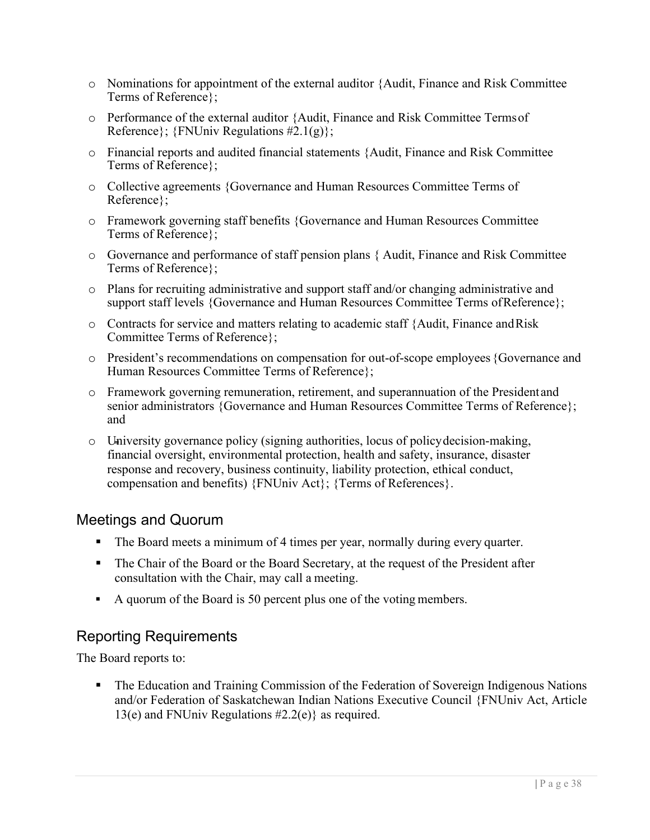- o Nominations for appointment of the external auditor {Audit, Finance and Risk Committee Terms of Reference};
- o Performance of the external auditor {Audit, Finance and Risk Committee Termsof Reference};  $\{FNUniv$  Regulations #2.1(g)};
- o Financial reports and audited financial statements {Audit, Finance and Risk Committee Terms of Reference};
- o Collective agreements {Governance and Human Resources Committee Terms of Reference};
- o Framework governing staff benefits {Governance and Human Resources Committee Terms of Reference};
- o Governance and performance of staff pension plans { Audit, Finance and Risk Committee Terms of Reference};
- o Plans for recruiting administrative and support staff and/or changing administrative and support staff levels {Governance and Human Resources Committee Terms of Reference};
- $\circ$  Contracts for service and matters relating to academic staff {Audit, Finance and Risk Committee Terms of Reference};
- o President's recommendations on compensation for out-of-scope employees {Governance and Human Resources Committee Terms of Reference};
- o Framework governing remuneration, retirement, and superannuation of the Presidentand senior administrators {Governance and Human Resources Committee Terms of Reference}; and
- o University governance policy (signing authorities, locus of policydecision-making, financial oversight, environmental protection, health and safety, insurance, disaster response and recovery, business continuity, liability protection, ethical conduct, compensation and benefits) {FNUniv Act}; {Terms of References}.

# Meetings and Quorum

- The Board meets a minimum of 4 times per year, normally during every quarter.
- The Chair of the Board or the Board Secretary, at the request of the President after consultation with the Chair, may call a meeting.
- A quorum of the Board is 50 percent plus one of the voting members.

# Reporting Requirements

The Board reports to:

 The Education and Training Commission of the Federation of Sovereign Indigenous Nations and/or Federation of Saskatchewan Indian Nations Executive Council {FNUniv Act, Article 13(e) and FNUniv Regulations  $\#2.2(e)$  as required.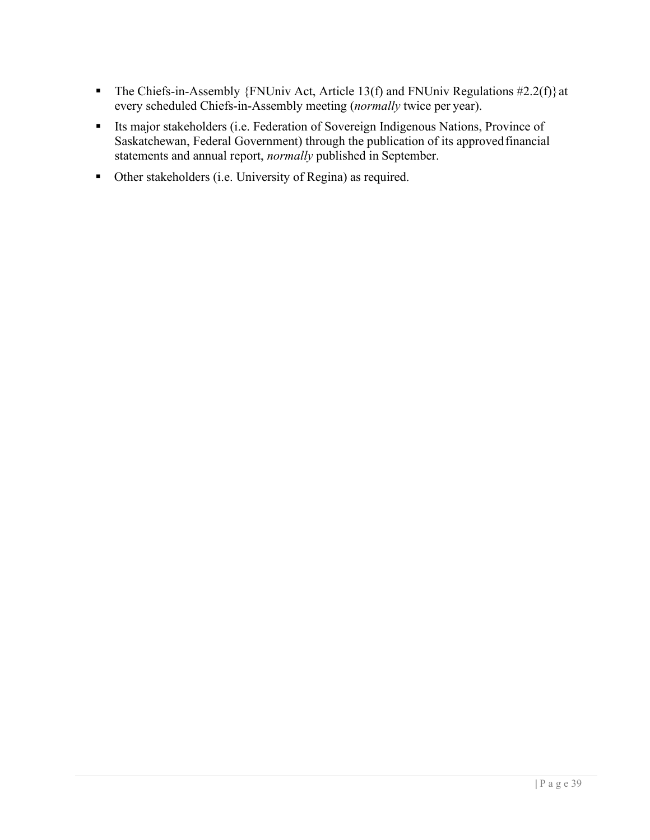- The Chiefs-in-Assembly {FNUniv Act, Article 13(f) and FNUniv Regulations  $\#2.2(f)$ } at every scheduled Chiefs-in-Assembly meeting (*normally* twice per year).
- Its major stakeholders (i.e. Federation of Sovereign Indigenous Nations, Province of Saskatchewan, Federal Government) through the publication of its approvedfinancial statements and annual report, *normally* published in September.
- Other stakeholders (i.e. University of Regina) as required.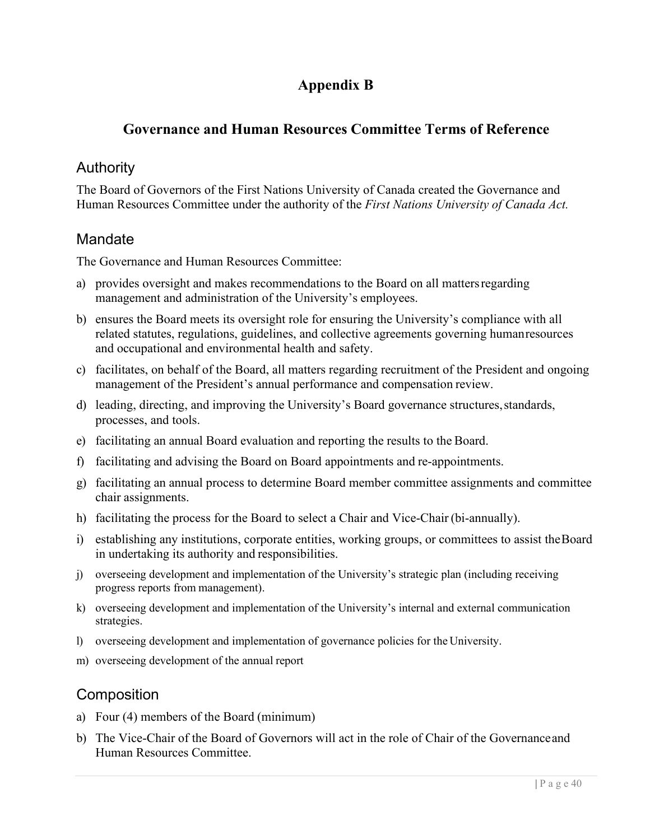# **Appendix B**

# **Governance and Human Resources Committee Terms of Reference**

# Authority

The Board of Governors of the First Nations University of Canada created the Governance and Human Resources Committee under the authority of the *First Nations University of Canada Act.*

# Mandate

The Governance and Human Resources Committee:

- a) provides oversight and makes recommendations to the Board on all mattersregarding management and administration of the University's employees.
- b) ensures the Board meets its oversight role for ensuring the University's compliance with all related statutes, regulations, guidelines, and collective agreements governing humanresources and occupational and environmental health and safety.
- c) facilitates, on behalf of the Board, all matters regarding recruitment of the President and ongoing management of the President's annual performance and compensation review.
- d) leading, directing, and improving the University's Board governance structures,standards, processes, and tools.
- e) facilitating an annual Board evaluation and reporting the results to the Board.
- f) facilitating and advising the Board on Board appointments and re-appointments.
- g) facilitating an annual process to determine Board member committee assignments and committee chair assignments.
- h) facilitating the process for the Board to select a Chair and Vice-Chair (bi-annually).
- i) establishing any institutions, corporate entities, working groups, or committees to assist theBoard in undertaking its authority and responsibilities.
- j) overseeing development and implementation of the University's strategic plan (including receiving progress reports from management).
- k) overseeing development and implementation of the University's internal and external communication strategies.
- l) overseeing development and implementation of governance policies for the University.
- m) overseeing development of the annual report

# **Composition**

- a) Four (4) members of the Board (minimum)
- b) The Vice-Chair of the Board of Governors will act in the role of Chair of the Governanceand Human Resources Committee.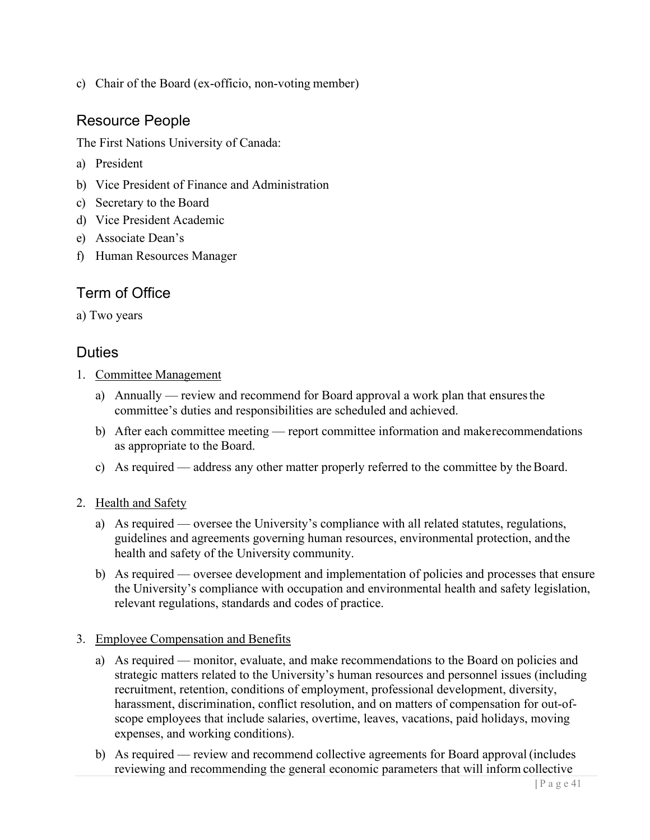c) Chair of the Board (ex-officio, non-voting member)

## Resource People

The First Nations University of Canada:

- a) President
- b) Vice President of Finance and Administration
- c) Secretary to the Board
- d) Vice President Academic
- e) Associate Dean's
- f) Human Resources Manager

# Term of Office

a) Two years

### Duties

- 1. Committee Management
	- a) Annually review and recommend for Board approval a work plan that ensuresthe committee's duties and responsibilities are scheduled and achieved.
	- b) After each committee meeting report committee information and makerecommendations as appropriate to the Board.
	- c) As required address any other matter properly referred to the committee by the Board.

#### 2. Health and Safety

- a) As required oversee the University's compliance with all related statutes, regulations, guidelines and agreements governing human resources, environmental protection, andthe health and safety of the University community.
- b) As required oversee development and implementation of policies and processes that ensure the University's compliance with occupation and environmental health and safety legislation, relevant regulations, standards and codes of practice.

#### 3. Employee Compensation and Benefits

- a) As required monitor, evaluate, and make recommendations to the Board on policies and strategic matters related to the University's human resources and personnel issues (including recruitment, retention, conditions of employment, professional development, diversity, harassment, discrimination, conflict resolution, and on matters of compensation for out-ofscope employees that include salaries, overtime, leaves, vacations, paid holidays, moving expenses, and working conditions).
- b) As required review and recommend collective agreements for Board approval (includes reviewing and recommending the general economic parameters that will inform collective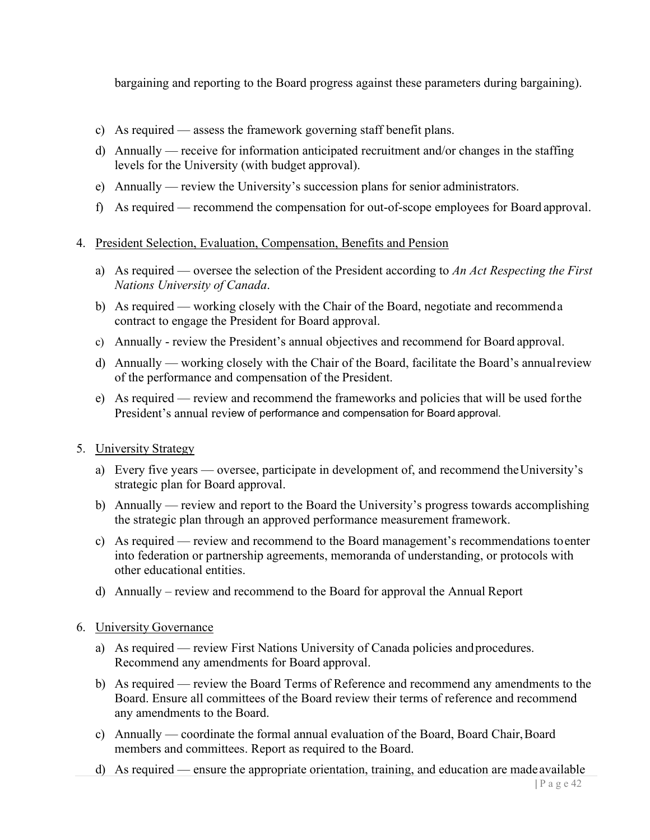bargaining and reporting to the Board progress against these parameters during bargaining).

- c) As required assess the framework governing staff benefit plans.
- d) Annually receive for information anticipated recruitment and/or changes in the staffing levels for the University (with budget approval).
- e) Annually review the University's succession plans for senior administrators.
- f) As required recommend the compensation for out-of-scope employees for Board approval.
- 4. President Selection, Evaluation, Compensation, Benefits and Pension
	- a) As required oversee the selection of the President according to *An Act Respecting the First Nations University of Canada*.
	- b) As required working closely with the Chair of the Board, negotiate and recommenda contract to engage the President for Board approval.
	- c) Annually review the President's annual objectives and recommend for Board approval.
	- d) Annually working closely with the Chair of the Board, facilitate the Board's annualreview of the performance and compensation of the President.
	- e) As required review and recommend the frameworks and policies that will be used forthe President's annual review of performance and compensation for Board approval.
- 5. University Strategy
	- a) Every five years oversee, participate in development of, and recommend theUniversity's strategic plan for Board approval.
	- b) Annually review and report to the Board the University's progress towards accomplishing the strategic plan through an approved performance measurement framework.
	- c) As required review and recommend to the Board management's recommendations toenter into federation or partnership agreements, memoranda of understanding, or protocols with other educational entities.
	- d) Annually review and recommend to the Board for approval the Annual Report
- 6. University Governance
	- a) As required review First Nations University of Canada policies andprocedures. Recommend any amendments for Board approval.
	- b) As required review the Board Terms of Reference and recommend any amendments to the Board. Ensure all committees of the Board review their terms of reference and recommend any amendments to the Board.
	- c) Annually coordinate the formal annual evaluation of the Board, Board Chair, Board members and committees. Report as required to the Board.
	- d) As required ensure the appropriate orientation, training, and education are madeavailable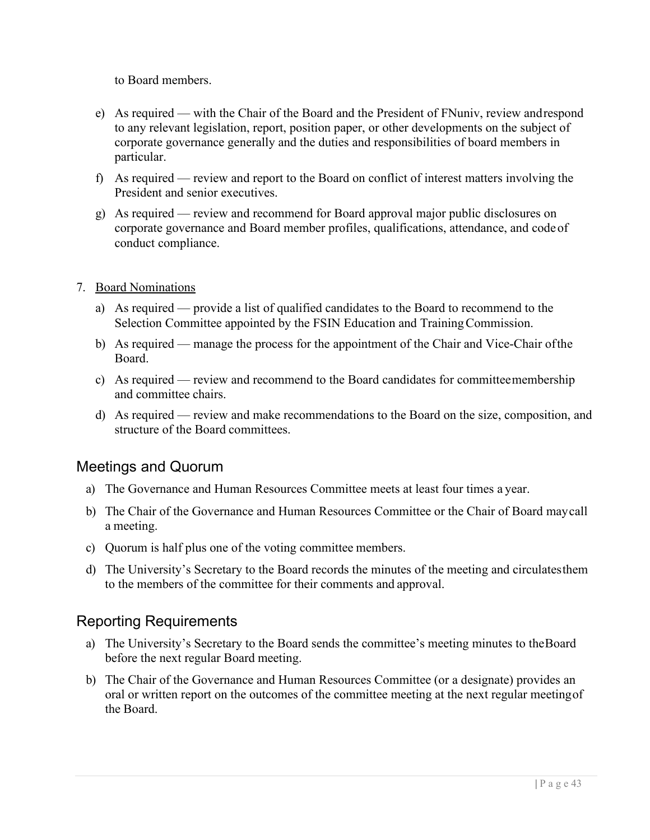to Board members.

- e) As required with the Chair of the Board and the President of FNuniv, review andrespond to any relevant legislation, report, position paper, or other developments on the subject of corporate governance generally and the duties and responsibilities of board members in particular.
- f) As required review and report to the Board on conflict of interest matters involving the President and senior executives.
- g) As required review and recommend for Board approval major public disclosures on corporate governance and Board member profiles, qualifications, attendance, and codeof conduct compliance.
- 7. Board Nominations
	- a) As required provide a list of qualified candidates to the Board to recommend to the Selection Committee appointed by the FSIN Education and Training Commission.
	- b) As required manage the process for the appointment of the Chair and Vice-Chair ofthe Board.
	- c) As required review and recommend to the Board candidates for committeemembership and committee chairs.
	- d) As required review and make recommendations to the Board on the size, composition, and structure of the Board committees.

# Meetings and Quorum

- a) The Governance and Human Resources Committee meets at least four times a year.
- b) The Chair of the Governance and Human Resources Committee or the Chair of Board maycall a meeting.
- c) Quorum is half plus one of the voting committee members.
- d) The University's Secretary to the Board records the minutes of the meeting and circulatesthem to the members of the committee for their comments and approval.

# Reporting Requirements

- a) The University's Secretary to the Board sends the committee's meeting minutes to theBoard before the next regular Board meeting.
- b) The Chair of the Governance and Human Resources Committee (or a designate) provides an oral or written report on the outcomes of the committee meeting at the next regular meetingof the Board.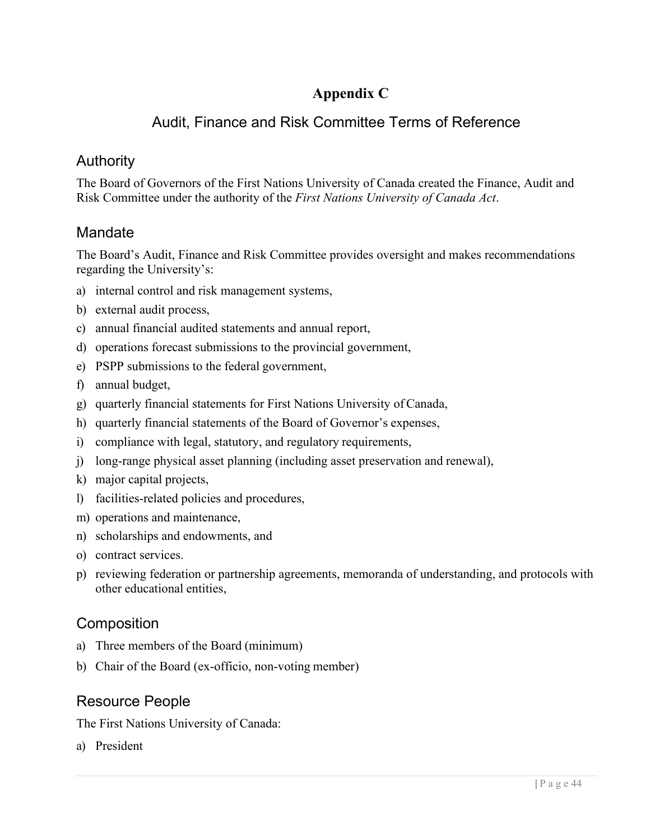# **Appendix C**

# Audit, Finance and Risk Committee Terms of Reference

# Authority

The Board of Governors of the First Nations University of Canada created the Finance, Audit and Risk Committee under the authority of the *First Nations University of Canada Act*.

# **Mandate**

The Board's Audit, Finance and Risk Committee provides oversight and makes recommendations regarding the University's:

- a) internal control and risk management systems,
- b) external audit process,
- c) annual financial audited statements and annual report,
- d) operations forecast submissions to the provincial government,
- e) PSPP submissions to the federal government,
- f) annual budget,
- g) quarterly financial statements for First Nations University of Canada,
- h) quarterly financial statements of the Board of Governor's expenses,
- i) compliance with legal, statutory, and regulatory requirements,
- j) long-range physical asset planning (including asset preservation and renewal),
- k) major capital projects,
- l) facilities-related policies and procedures,
- m) operations and maintenance,
- n) scholarships and endowments, and
- o) contract services.
- p) reviewing federation or partnership agreements, memoranda of understanding, and protocols with other educational entities,

# **Composition**

- a) Three members of the Board (minimum)
- b) Chair of the Board (ex-officio, non-voting member)

# Resource People

The First Nations University of Canada:

a) President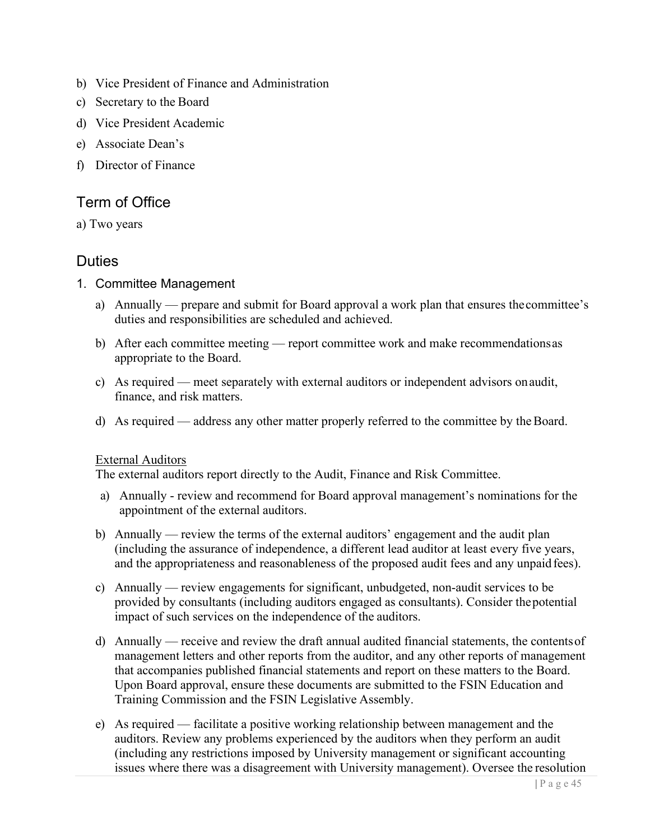- b) Vice President of Finance and Administration
- c) Secretary to the Board
- d) Vice President Academic
- e) Associate Dean's
- f) Director of Finance

# Term of Office

a) Two years

# Duties

- 1. Committee Management
	- a) Annually prepare and submit for Board approval a work plan that ensures thecommittee's duties and responsibilities are scheduled and achieved.
	- b) After each committee meeting report committee work and make recommendationsas appropriate to the Board.
	- c) As required meet separately with external auditors or independent advisors onaudit, finance, and risk matters.
	- d) As required address any other matter properly referred to the committee by the Board.

#### External Auditors

The external auditors report directly to the Audit, Finance and Risk Committee.

- a) Annually review and recommend for Board approval management's nominations for the appointment of the external auditors.
- b) Annually review the terms of the external auditors' engagement and the audit plan (including the assurance of independence, a different lead auditor at least every five years, and the appropriateness and reasonableness of the proposed audit fees and any unpaid fees).
- c) Annually review engagements for significant, unbudgeted, non-audit services to be provided by consultants (including auditors engaged as consultants). Consider thepotential impact of such services on the independence of the auditors.
- d) Annually receive and review the draft annual audited financial statements, the contentsof management letters and other reports from the auditor, and any other reports of management that accompanies published financial statements and report on these matters to the Board. Upon Board approval, ensure these documents are submitted to the FSIN Education and Training Commission and the FSIN Legislative Assembly.
- e) As required facilitate a positive working relationship between management and the auditors. Review any problems experienced by the auditors when they perform an audit (including any restrictions imposed by University management or significant accounting issues where there was a disagreement with University management). Oversee the resolution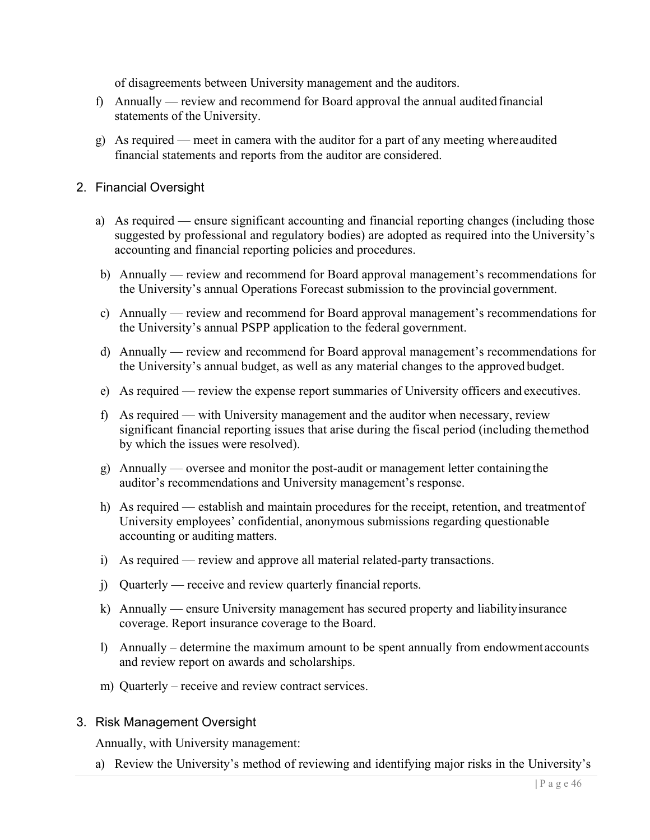of disagreements between University management and the auditors.

- f) Annually review and recommend for Board approval the annual auditedfinancial statements of the University.
- g) As required meet in camera with the auditor for a part of any meeting whereaudited financial statements and reports from the auditor are considered.
- 2. Financial Oversight
	- a) As required ensure significant accounting and financial reporting changes (including those suggested by professional and regulatory bodies) are adopted as required into the University's accounting and financial reporting policies and procedures.
	- b) Annually review and recommend for Board approval management's recommendations for the University's annual Operations Forecast submission to the provincial government.
	- c) Annually review and recommend for Board approval management's recommendations for the University's annual PSPP application to the federal government.
	- d) Annually review and recommend for Board approval management's recommendations for the University's annual budget, as well as any material changes to the approved budget.
	- e) As required review the expense report summaries of University officers and executives.
	- f) As required with University management and the auditor when necessary, review significant financial reporting issues that arise during the fiscal period (including themethod by which the issues were resolved).
	- g) Annually oversee and monitor the post-audit or management letter containingthe auditor's recommendations and University management's response.
	- h) As required establish and maintain procedures for the receipt, retention, and treatmentof University employees' confidential, anonymous submissions regarding questionable accounting or auditing matters.
	- i) As required review and approve all material related-party transactions.
	- j) Quarterly receive and review quarterly financial reports.
	- k) Annually ensure University management has secured property and liabilityinsurance coverage. Report insurance coverage to the Board.
	- l) Annually determine the maximum amount to be spent annually from endowment accounts and review report on awards and scholarships.
	- m) Quarterly receive and review contract services.

#### 3. Risk Management Oversight

Annually, with University management:

a) Review the University's method of reviewing and identifying major risks in the University's